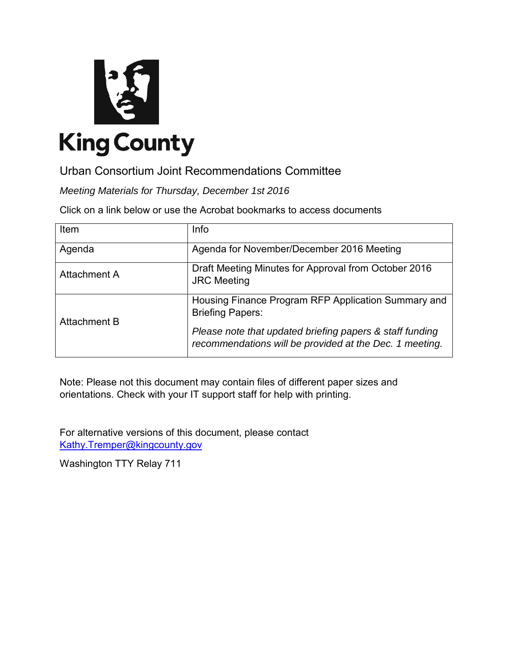

Urban Consortium Joint Recommendations Committee

*Meeting Materials for Thursday, December 1st 2016*

Click on a link below or use the Acrobat bookmarks to access documents

| Item                | <b>Info</b>                                                                                                         |
|---------------------|---------------------------------------------------------------------------------------------------------------------|
| Agenda              | Agenda for November/December 2016 Meeting                                                                           |
| Attachment A        | Draft Meeting Minutes for Approval from October 2016<br><b>JRC</b> Meeting                                          |
| <b>Attachment B</b> | Housing Finance Program RFP Application Summary and<br><b>Briefing Papers:</b>                                      |
|                     | Please note that updated briefing papers & staff funding<br>recommendations will be provided at the Dec. 1 meeting. |

Note: Please not this document may contain files of different paper sizes and orientations. Check with your IT support staff for help with printing.

For alternative versions of this document, please contact [Kathy.Tremper@kingcounty.gov](mailto:Kathy.Tremper@kingcounty.gov)

Washington TTY Relay 711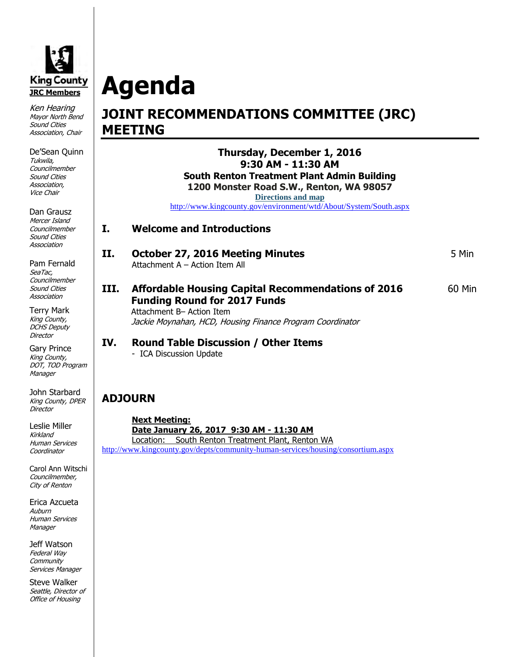<span id="page-1-0"></span>

Ken Hearing Mayor North Bend Sound Cities Association, Chair

De'Sean Quinn Tukwila, **Councilmember** Sound Cities Association, Vice Chair

Dan Grausz Mercer Island **Councilmember** Sound Cities Association

Pam Fernald SeaTac, **Councilmember** Sound Cities Association

Terry Mark King County, DCHS Deputy **Director** 

Gary Prince King County, DOT, TOD Program **Manager** 

John Starbard King County, DPER **Director** 

Leslie Miller Kirkland Human Services Coordinator

Carol Ann Witschi Councilmember, City of Renton

Erica Azcueta Auburn Human Services **Manager** 

Jeff Watson Federal Way **Community** Services Manager

Steve Walker Seattle, Director of Office of Housing

# **Agenda JOINT RECOMMENDATIONS COMMITTEE (JRC) MEETING**

**Thursday, December 1, 2016 9:30 AM - 11:30 AM South Renton Treatment Plant Admin Building 1200 Monster Road S.W., Renton, WA 98057** 

**Directions and map**

http://www.kingcounty.gov/environment/wtd/About/System/South.aspx

- **I. Welcome and Introductions**
- **II. October 27, 2016 Meeting Minutes** 5 Min Attachment A – Action Item All
- **III.** Affordable Housing Capital Recommendations of 2016 **60 Min Funding Round for 2017 Funds**

Attachment B– Action Item Jackie Moynahan, HCD, Housing Finance Program Coordinator

**IV. Round Table Discussion / Other Items** 

- ICA Discussion Update

# **ADJOURN**

**Next Meeting: Date January 26, 2017 9:30 AM - 11:30 AM**  Location: South Renton Treatment Plant, Renton WA http://www.kingcounty.gov/depts/community-human-services/housing/consortium.aspx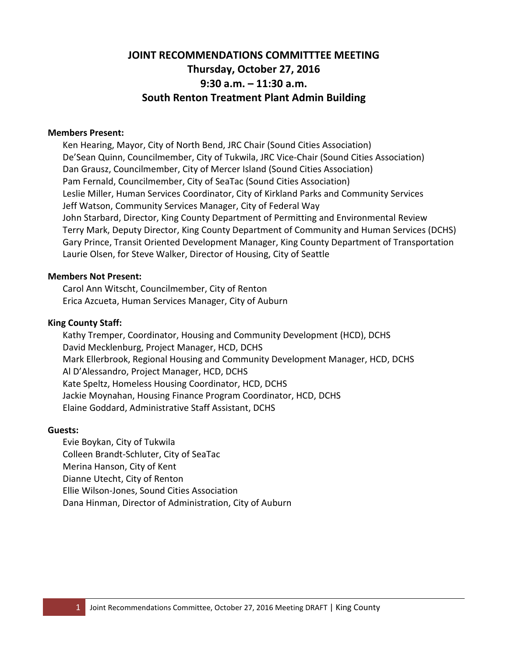# **JOINT RECOMMENDATIONS COMMITTTEE MEETING Thursday, October 27, 2016 9:30 a.m. – 11:30 a.m. South Renton Treatment Plant Admin Building**

#### <span id="page-2-0"></span>**Members Present:**

Ken Hearing, Mayor, City of North Bend, JRC Chair (Sound Cities Association) De'Sean Quinn, Councilmember, City of Tukwila, JRC Vice-Chair (Sound Cities Association) Dan Grausz, Councilmember, City of Mercer Island (Sound Cities Association) Pam Fernald, Councilmember, City of SeaTac (Sound Cities Association) Leslie Miller, Human Services Coordinator, City of Kirkland Parks and Community Services Jeff Watson, Community Services Manager, City of Federal Way John Starbard, Director, King County Department of Permitting and Environmental Review Terry Mark, Deputy Director, King County Department of Community and Human Services (DCHS) Gary Prince, Transit Oriented Development Manager, King County Department of Transportation Laurie Olsen, for Steve Walker, Director of Housing, City of Seattle

#### **Members Not Present:**

Carol Ann Witscht, Councilmember, City of Renton Erica Azcueta, Human Services Manager, City of Auburn

#### **King County Staff:**

Kathy Tremper, Coordinator, Housing and Community Development (HCD), DCHS David Mecklenburg, Project Manager, HCD, DCHS Mark Ellerbrook, Regional Housing and Community Development Manager, HCD, DCHS Al D'Alessandro, Project Manager, HCD, DCHS Kate Speltz, Homeless Housing Coordinator, HCD, DCHS Jackie Moynahan, Housing Finance Program Coordinator, HCD, DCHS Elaine Goddard, Administrative Staff Assistant, DCHS

#### **Guests:**

Evie Boykan, City of Tukwila Colleen Brandt-Schluter, City of SeaTac Merina Hanson, City of Kent Dianne Utecht, City of Renton Ellie Wilson-Jones, Sound Cities Association Dana Hinman, Director of Administration, City of Auburn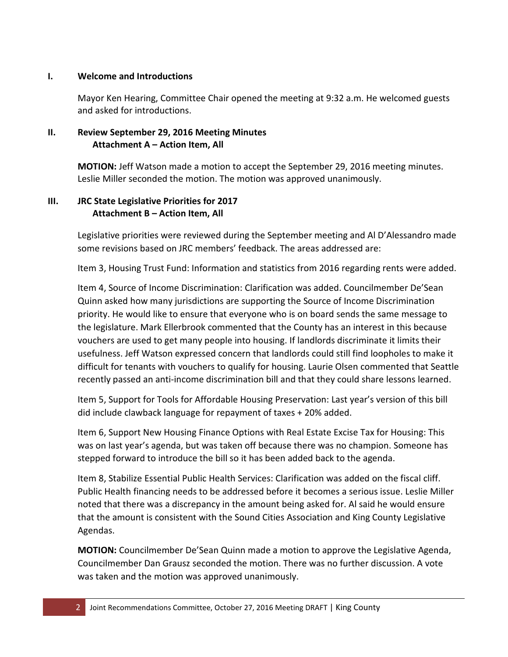### **I. Welcome and Introductions**

Mayor Ken Hearing, Committee Chair opened the meeting at 9:32 a.m. He welcomed guests and asked for introductions.

## **II. Review September 29, 2016 Meeting Minutes Attachment A – Action Item, All**

**MOTION:** Jeff Watson made a motion to accept the September 29, 2016 meeting minutes. Leslie Miller seconded the motion. The motion was approved unanimously.

## **III. JRC State Legislative Priorities for 2017 Attachment B – Action Item, All**

Legislative priorities were reviewed during the September meeting and Al D'Alessandro made some revisions based on JRC members' feedback. The areas addressed are:

Item 3, Housing Trust Fund: Information and statistics from 2016 regarding rents were added.

Item 4, Source of Income Discrimination: Clarification was added. Councilmember De'Sean Quinn asked how many jurisdictions are supporting the Source of Income Discrimination priority. He would like to ensure that everyone who is on board sends the same message to the legislature. Mark Ellerbrook commented that the County has an interest in this because vouchers are used to get many people into housing. If landlords discriminate it limits their usefulness. Jeff Watson expressed concern that landlords could still find loopholes to make it difficult for tenants with vouchers to qualify for housing. Laurie Olsen commented that Seattle recently passed an anti-income discrimination bill and that they could share lessons learned.

Item 5, Support for Tools for Affordable Housing Preservation: Last year's version of this bill did include clawback language for repayment of taxes + 20% added.

Item 6, Support New Housing Finance Options with Real Estate Excise Tax for Housing: This was on last year's agenda, but was taken off because there was no champion. Someone has stepped forward to introduce the bill so it has been added back to the agenda.

Item 8, Stabilize Essential Public Health Services: Clarification was added on the fiscal cliff. Public Health financing needs to be addressed before it becomes a serious issue. Leslie Miller noted that there was a discrepancy in the amount being asked for. Al said he would ensure that the amount is consistent with the Sound Cities Association and King County Legislative Agendas.

**MOTION:** Councilmember De'Sean Quinn made a motion to approve the Legislative Agenda, Councilmember Dan Grausz seconded the motion. There was no further discussion. A vote was taken and the motion was approved unanimously.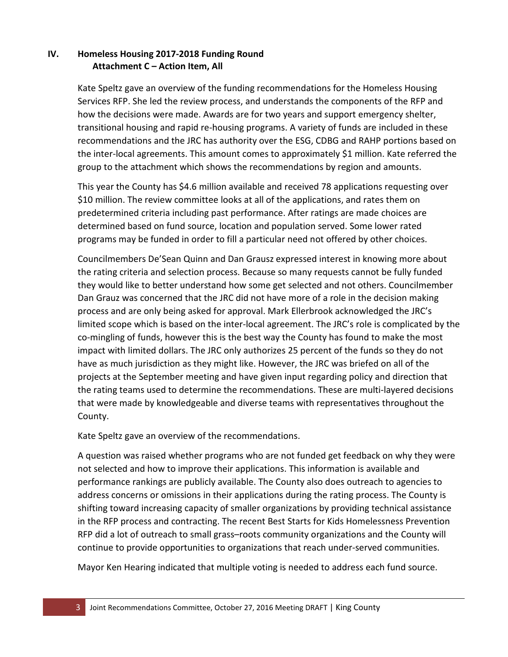## **IV. Homeless Housing 2017-2018 Funding Round Attachment C – Action Item, All**

Kate Speltz gave an overview of the funding recommendations for the Homeless Housing Services RFP. She led the review process, and understands the components of the RFP and how the decisions were made. Awards are for two years and support emergency shelter, transitional housing and rapid re-housing programs. A variety of funds are included in these recommendations and the JRC has authority over the ESG, CDBG and RAHP portions based on the inter-local agreements. This amount comes to approximately \$1 million. Kate referred the group to the attachment which shows the recommendations by region and amounts.

This year the County has \$4.6 million available and received 78 applications requesting over \$10 million. The review committee looks at all of the applications, and rates them on predetermined criteria including past performance. After ratings are made choices are determined based on fund source, location and population served. Some lower rated programs may be funded in order to fill a particular need not offered by other choices.

Councilmembers De'Sean Quinn and Dan Grausz expressed interest in knowing more about the rating criteria and selection process. Because so many requests cannot be fully funded they would like to better understand how some get selected and not others. Councilmember Dan Grauz was concerned that the JRC did not have more of a role in the decision making process and are only being asked for approval. Mark Ellerbrook acknowledged the JRC's limited scope which is based on the inter-local agreement. The JRC's role is complicated by the co-mingling of funds, however this is the best way the County has found to make the most impact with limited dollars. The JRC only authorizes 25 percent of the funds so they do not have as much jurisdiction as they might like. However, the JRC was briefed on all of the projects at the September meeting and have given input regarding policy and direction that the rating teams used to determine the recommendations. These are multi-layered decisions that were made by knowledgeable and diverse teams with representatives throughout the County.

Kate Speltz gave an overview of the recommendations.

A question was raised whether programs who are not funded get feedback on why they were not selected and how to improve their applications. This information is available and performance rankings are publicly available. The County also does outreach to agencies to address concerns or omissions in their applications during the rating process. The County is shifting toward increasing capacity of smaller organizations by providing technical assistance in the RFP process and contracting. The recent Best Starts for Kids Homelessness Prevention RFP did a lot of outreach to small grass–roots community organizations and the County will continue to provide opportunities to organizations that reach under-served communities.

Mayor Ken Hearing indicated that multiple voting is needed to address each fund source.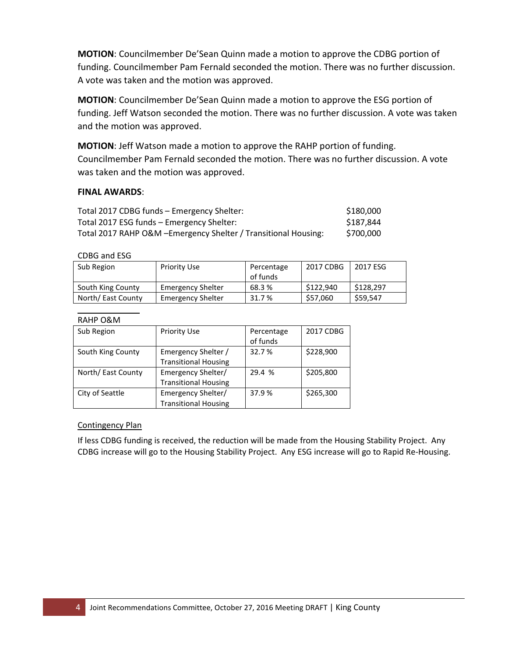**MOTION**: Councilmember De'Sean Quinn made a motion to approve the CDBG portion of funding. Councilmember Pam Fernald seconded the motion. There was no further discussion. A vote was taken and the motion was approved.

**MOTION**: Councilmember De'Sean Quinn made a motion to approve the ESG portion of funding. Jeff Watson seconded the motion. There was no further discussion. A vote was taken and the motion was approved.

**MOTION**: Jeff Watson made a motion to approve the RAHP portion of funding. Councilmember Pam Fernald seconded the motion. There was no further discussion. A vote was taken and the motion was approved.

### **FINAL AWARDS**:

| Total 2017 CDBG funds - Emergency Shelter:                      | \$180,000 |
|-----------------------------------------------------------------|-----------|
| Total 2017 ESG funds - Emergency Shelter:                       | \$187,844 |
| Total 2017 RAHP O&M - Emergency Shelter / Transitional Housing: | \$700.000 |

#### CDBG and ESG

| Sub Region         | Priority Use             | Percentage | 2017 CDBG | 2017 ESG  |
|--------------------|--------------------------|------------|-----------|-----------|
|                    |                          | of funds   |           |           |
| South King County  | <b>Emergency Shelter</b> | 68.3 %     | \$122.940 | \$128,297 |
| North/ East County | <b>Emergency Shelter</b> | 31.7 %     | \$57,060  | \$59,547  |

#### RAHP O&M

| Sub Region         | <b>Priority Use</b>         | Percentage<br>of funds | 2017 CDBG |
|--------------------|-----------------------------|------------------------|-----------|
|                    |                             |                        |           |
| South King County  | Emergency Shelter /         | 32.7%                  | \$228,900 |
|                    | <b>Transitional Housing</b> |                        |           |
| North/ East County | Emergency Shelter/          | 29.4 %                 | \$205,800 |
|                    | <b>Transitional Housing</b> |                        |           |
| City of Seattle    | Emergency Shelter/          | 37.9%                  | \$265,300 |
|                    | <b>Transitional Housing</b> |                        |           |

#### Contingency Plan

If less CDBG funding is received, the reduction will be made from the Housing Stability Project. Any CDBG increase will go to the Housing Stability Project. Any ESG increase will go to Rapid Re-Housing.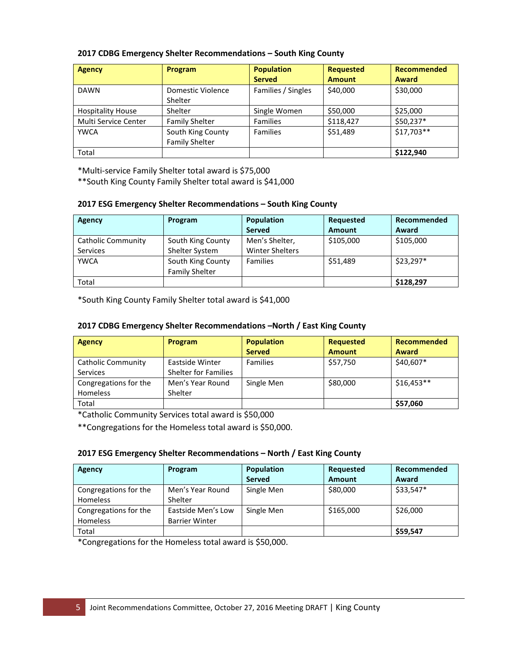| <b>Agency</b>            | Program                                  | <b>Population</b>  | <b>Requested</b> | <b>Recommended</b> |
|--------------------------|------------------------------------------|--------------------|------------------|--------------------|
|                          |                                          | <b>Served</b>      | <b>Amount</b>    | <b>Award</b>       |
| <b>DAWN</b>              | Domestic Violence                        | Families / Singles | \$40,000         | \$30,000           |
|                          | Shelter                                  |                    |                  |                    |
| <b>Hospitality House</b> | Shelter                                  | Single Women       | \$50,000         | \$25,000           |
| Multi Service Center     | <b>Family Shelter</b><br><b>Families</b> |                    | \$118,427        | $$50,237*$         |
| <b>YWCA</b>              | South King County                        | <b>Families</b>    | \$51,489         | $$17,703**$        |
|                          | <b>Family Shelter</b>                    |                    |                  |                    |
| Total                    |                                          |                    |                  | \$122,940          |

#### **2017 CDBG Emergency Shelter Recommendations – South King County**

\*Multi-service Family Shelter total award is \$75,000

\*\*South King County Family Shelter total award is \$41,000

#### **2017 ESG Emergency Shelter Recommendations – South King County**

| Agency             | Program               | Population             | Requested     | Recommended |
|--------------------|-----------------------|------------------------|---------------|-------------|
|                    |                       | <b>Served</b>          | <b>Amount</b> | Award       |
| Catholic Community | South King County     | Men's Shelter,         | \$105,000     | \$105,000   |
| <b>Services</b>    | Shelter System        | <b>Winter Shelters</b> |               |             |
| <b>YWCA</b>        | South King County     | <b>Families</b>        | \$51,489      | $$23,297*$  |
|                    | <b>Family Shelter</b> |                        |               |             |
| Total              |                       |                        |               | \$128,297   |

\*South King County Family Shelter total award is \$41,000

#### **2017 CDBG Emergency Shelter Recommendations –North / East King County**

| <b>Agency</b>             | <b>Program</b>              | <b>Population</b> | Requested     | Recommended |
|---------------------------|-----------------------------|-------------------|---------------|-------------|
|                           |                             | <b>Served</b>     | <b>Amount</b> | Award       |
| <b>Catholic Community</b> | Eastside Winter             | <b>Families</b>   | \$57,750      | \$40,607*   |
| <b>Services</b>           | <b>Shelter for Families</b> |                   |               |             |
| Congregations for the     | Men's Year Round            | Single Men        | \$80,000      | $$16,453**$ |
| <b>Homeless</b>           | Shelter                     |                   |               |             |
| Total                     |                             |                   |               | \$57,060    |

\*Catholic Community Services total award is \$50,000

\*\*Congregations for the Homeless total award is \$50,000.

#### **2017 ESG Emergency Shelter Recommendations – North / East King County**

| Agency                | Program               | <b>Population</b> | Requested | Recommended |
|-----------------------|-----------------------|-------------------|-----------|-------------|
|                       |                       | <b>Served</b>     | Amount    | Award       |
| Congregations for the | Men's Year Round      | Single Men        | \$80,000  | \$33,547*   |
| <b>Homeless</b>       | Shelter               |                   |           |             |
| Congregations for the | Eastside Men's Low    | Single Men        | \$165,000 | \$26,000    |
| <b>Homeless</b>       | <b>Barrier Winter</b> |                   |           |             |
| Total                 |                       |                   |           | \$59,547    |

\*Congregations for the Homeless total award is \$50,000.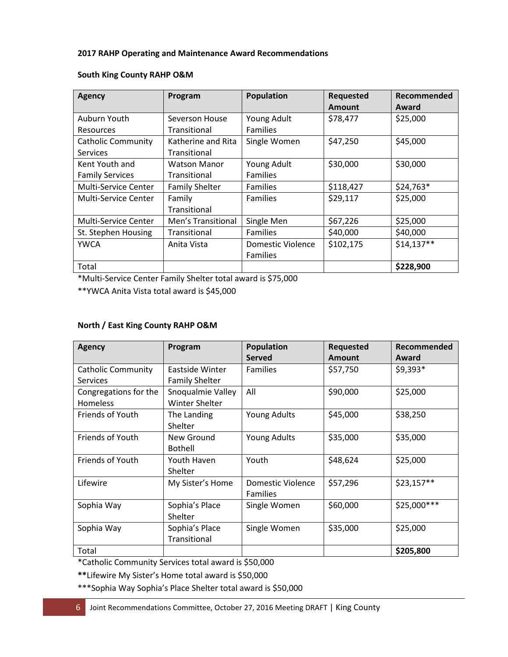#### **2017 RAHP Operating and Maintenance Award Recommendations**

| Agency                      | Program               | <b>Population</b> | Requested | Recommended |
|-----------------------------|-----------------------|-------------------|-----------|-------------|
|                             |                       |                   | Amount    | Award       |
| Auburn Youth                | Severson House        | Young Adult       | \$78,477  | \$25,000    |
| <b>Resources</b>            | Transitional          | <b>Families</b>   |           |             |
| <b>Catholic Community</b>   | Katherine and Rita    | Single Women      | \$47,250  | \$45,000    |
| <b>Services</b>             | Transitional          |                   |           |             |
| Kent Youth and              | <b>Watson Manor</b>   | Young Adult       | \$30,000  | \$30,000    |
| <b>Family Services</b>      | Transitional          | <b>Families</b>   |           |             |
| Multi-Service Center        | <b>Family Shelter</b> | <b>Families</b>   | \$118,427 | \$24,763*   |
| Multi-Service Center        | Family                | <b>Families</b>   | \$29,117  | \$25,000    |
|                             | Transitional          |                   |           |             |
| <b>Multi-Service Center</b> | Men's Transitional    | Single Men        | \$67,226  | \$25,000    |
| St. Stephen Housing         | Transitional          | <b>Families</b>   | \$40,000  | \$40,000    |
| <b>YWCA</b>                 | Anita Vista           | Domestic Violence | \$102,175 | $$14,137**$ |
|                             |                       | <b>Families</b>   |           |             |
| Total                       |                       |                   |           | \$228,900   |

#### **South King County RAHP O&M**

\*Multi-Service Center Family Shelter total award is \$75,000

\*\*YWCA Anita Vista total award is \$45,000

#### **North / East King County RAHP O&M**

| Agency                    | Program               | Population          | Requested     | Recommended  |
|---------------------------|-----------------------|---------------------|---------------|--------------|
|                           |                       | <b>Served</b>       | <b>Amount</b> | Award        |
| <b>Catholic Community</b> | Eastside Winter       | <b>Families</b>     | \$57,750      | $$9,393*$    |
| Services                  | <b>Family Shelter</b> |                     |               |              |
| Congregations for the     | Snoqualmie Valley     | All                 | \$90,000      | \$25,000     |
| <b>Homeless</b>           | Winter Shelter        |                     |               |              |
| <b>Friends of Youth</b>   | The Landing           | <b>Young Adults</b> | \$45,000      | \$38,250     |
|                           | <b>Shelter</b>        |                     |               |              |
| <b>Friends of Youth</b>   | New Ground            | <b>Young Adults</b> | \$35,000      | \$35,000     |
|                           | <b>Bothell</b>        |                     |               |              |
| <b>Friends of Youth</b>   | Youth Haven           | Youth               | \$48,624      | \$25,000     |
|                           | Shelter               |                     |               |              |
| Lifewire                  | My Sister's Home      | Domestic Violence   | \$57,296      | \$23,157**   |
|                           |                       | <b>Families</b>     |               |              |
| Sophia Way                | Sophia's Place        | Single Women        | \$60,000      | \$25,000 *** |
|                           | Shelter               |                     |               |              |
| Sophia Way                | Sophia's Place        | Single Women        | \$35,000      | \$25,000     |
|                           | <b>Transitional</b>   |                     |               |              |
| Total                     |                       |                     |               | \$205,800    |

\*Catholic Community Services total award is \$50,000

**\*\***Lifewire My Sister's Home total award is \$50,000

\*\*\*Sophia Way Sophia's Place Shelter total award is \$50,000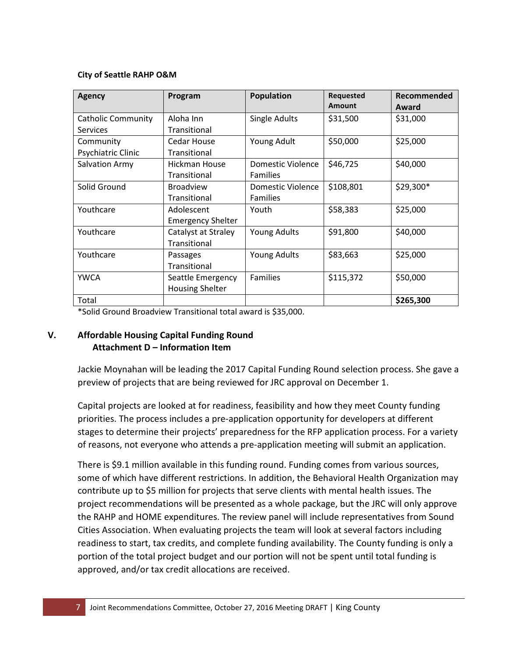#### **City of Seattle RAHP O&M**

| <b>Agency</b>             | Program                  | <b>Population</b>   | <b>Requested</b><br>Amount | Recommended<br>Award |
|---------------------------|--------------------------|---------------------|----------------------------|----------------------|
| <b>Catholic Community</b> | Aloha Inn                | Single Adults       | \$31,500                   | \$31,000             |
| <b>Services</b>           | Transitional             |                     |                            |                      |
| Community                 | Cedar House              | Young Adult         | \$50,000                   | \$25,000             |
| Psychiatric Clinic        | Transitional             |                     |                            |                      |
| <b>Salvation Army</b>     | Hickman House            | Domestic Violence   | \$46,725                   | \$40,000             |
|                           | Transitional             | <b>Families</b>     |                            |                      |
| Solid Ground              | <b>Broadview</b>         | Domestic Violence   | \$108,801                  | \$29,300*            |
|                           | Transitional             | <b>Families</b>     |                            |                      |
| Youthcare                 | Adolescent               | Youth               | \$58,383                   | \$25,000             |
|                           | <b>Emergency Shelter</b> |                     |                            |                      |
| Youthcare                 | Catalyst at Straley      | <b>Young Adults</b> | \$91,800                   | \$40,000             |
|                           | Transitional             |                     |                            |                      |
| Youthcare                 | Passages                 | <b>Young Adults</b> | \$83,663                   | \$25,000             |
|                           | Transitional             |                     |                            |                      |
| <b>YWCA</b>               | Seattle Emergency        | <b>Families</b>     | \$115,372                  | \$50,000             |
|                           | <b>Housing Shelter</b>   |                     |                            |                      |
| Total                     |                          |                     |                            | \$265,300            |

\*Solid Ground Broadview Transitional total award is \$35,000.

## **V. Affordable Housing Capital Funding Round Attachment D – Information Item**

Jackie Moynahan will be leading the 2017 Capital Funding Round selection process. She gave a preview of projects that are being reviewed for JRC approval on December 1.

Capital projects are looked at for readiness, feasibility and how they meet County funding priorities. The process includes a pre-application opportunity for developers at different stages to determine their projects' preparedness for the RFP application process. For a variety of reasons, not everyone who attends a pre-application meeting will submit an application.

There is \$9.1 million available in this funding round. Funding comes from various sources, some of which have different restrictions. In addition, the Behavioral Health Organization may contribute up to \$5 million for projects that serve clients with mental health issues. The project recommendations will be presented as a whole package, but the JRC will only approve the RAHP and HOME expenditures. The review panel will include representatives from Sound Cities Association. When evaluating projects the team will look at several factors including readiness to start, tax credits, and complete funding availability. The County funding is only a portion of the total project budget and our portion will not be spent until total funding is approved, and/or tax credit allocations are received.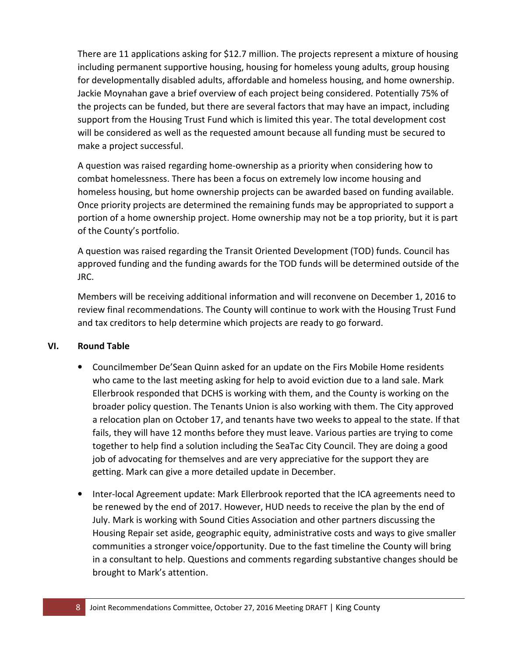There are 11 applications asking for \$12.7 million. The projects represent a mixture of housing including permanent supportive housing, housing for homeless young adults, group housing for developmentally disabled adults, affordable and homeless housing, and home ownership. Jackie Moynahan gave a brief overview of each project being considered. Potentially 75% of the projects can be funded, but there are several factors that may have an impact, including support from the Housing Trust Fund which is limited this year. The total development cost will be considered as well as the requested amount because all funding must be secured to make a project successful.

A question was raised regarding home-ownership as a priority when considering how to combat homelessness. There has been a focus on extremely low income housing and homeless housing, but home ownership projects can be awarded based on funding available. Once priority projects are determined the remaining funds may be appropriated to support a portion of a home ownership project. Home ownership may not be a top priority, but it is part of the County's portfolio.

A question was raised regarding the Transit Oriented Development (TOD) funds. Council has approved funding and the funding awards for the TOD funds will be determined outside of the JRC.

Members will be receiving additional information and will reconvene on December 1, 2016 to review final recommendations. The County will continue to work with the Housing Trust Fund and tax creditors to help determine which projects are ready to go forward.

### **VI. Round Table**

- Councilmember De'Sean Quinn asked for an update on the Firs Mobile Home residents who came to the last meeting asking for help to avoid eviction due to a land sale. Mark Ellerbrook responded that DCHS is working with them, and the County is working on the broader policy question. The Tenants Union is also working with them. The City approved a relocation plan on October 17, and tenants have two weeks to appeal to the state. If that fails, they will have 12 months before they must leave. Various parties are trying to come together to help find a solution including the SeaTac City Council. They are doing a good job of advocating for themselves and are very appreciative for the support they are getting. Mark can give a more detailed update in December.
- Inter-local Agreement update: Mark Ellerbrook reported that the ICA agreements need to be renewed by the end of 2017. However, HUD needs to receive the plan by the end of July. Mark is working with Sound Cities Association and other partners discussing the Housing Repair set aside, geographic equity, administrative costs and ways to give smaller communities a stronger voice/opportunity. Due to the fast timeline the County will bring in a consultant to help. Questions and comments regarding substantive changes should be brought to Mark's attention.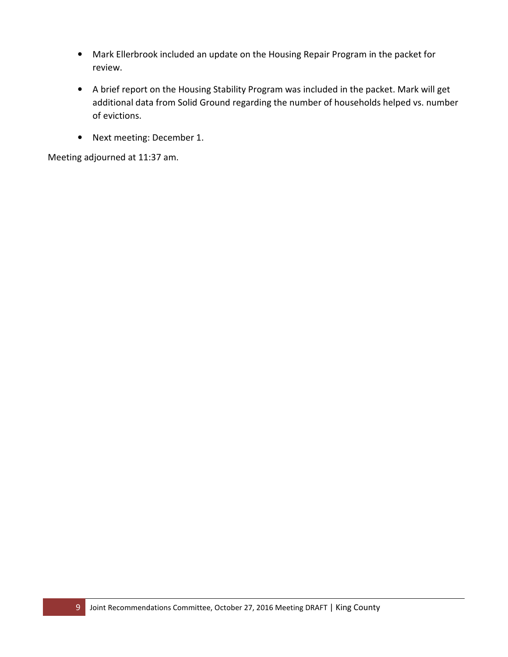- Mark Ellerbrook included an update on the Housing Repair Program in the packet for review.
- A brief report on the Housing Stability Program was included in the packet. Mark will get additional data from Solid Ground regarding the number of households helped vs. number of evictions.
- Next meeting: December 1.

Meeting adjourned at 11:37 am.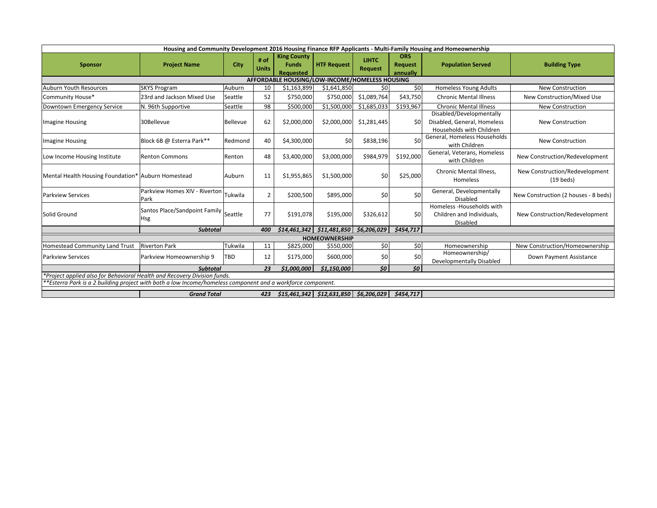<span id="page-11-0"></span>

|                                                                                                                 | Housing and Community Development 2016 Housing Finance RFP Applicants - Multi-Family Housing and Homeownership |             |                      |                                                       |                                                                                                                                                     |                                |                                          |                                                                                     |                                                       |
|-----------------------------------------------------------------------------------------------------------------|----------------------------------------------------------------------------------------------------------------|-------------|----------------------|-------------------------------------------------------|-----------------------------------------------------------------------------------------------------------------------------------------------------|--------------------------------|------------------------------------------|-------------------------------------------------------------------------------------|-------------------------------------------------------|
| <b>Sponsor</b>                                                                                                  | <b>Project Name</b>                                                                                            | <b>City</b> | # of<br><b>Units</b> | <b>King County</b><br><b>Funds</b><br>Requested       | <b>HTF Request</b>                                                                                                                                  | <b>LIHTC</b><br><b>Request</b> | <b>ORS</b><br><b>Request</b><br>annually | <b>Population Served</b>                                                            | <b>Building Type</b>                                  |
|                                                                                                                 |                                                                                                                |             |                      | <b>AFFORDABLE HOUSING/LOW-INCOME/HOMELESS HOUSING</b> |                                                                                                                                                     |                                |                                          |                                                                                     |                                                       |
| Auburn Youth Resources                                                                                          | <b>SKYS Program</b>                                                                                            | Auburn      | 10                   | \$1,163,899                                           | \$1,641,850                                                                                                                                         | 50                             | 50                                       | <b>Homeless Young Adults</b>                                                        | <b>New Construction</b>                               |
| Community House*                                                                                                | 23rd and Jackson Mixed Use                                                                                     | Seattle     | 52                   | \$750,000                                             | \$750,000                                                                                                                                           | \$1,089,764                    | \$43,750                                 | <b>Chronic Mental Illness</b>                                                       | New Construction/Mixed Use                            |
| Downtown Emergency Service                                                                                      | N. 96th Supportive                                                                                             | Seattle     | 98                   | \$500,000                                             | \$1,500,000                                                                                                                                         | \$1,685,033                    | \$193,967                                | <b>Chronic Mental Illness</b>                                                       | <b>New Construction</b>                               |
| <b>Imagine Housing</b>                                                                                          | 30Bellevue                                                                                                     | Bellevue    | 62                   | \$2,000,000                                           | \$2,000,000                                                                                                                                         | \$1,281,445                    | 50 <sup>1</sup>                          | Disabled/Developmentally<br>Disabled, General, Homeless<br>Households with Children | <b>New Construction</b>                               |
| <b>Imagine Housing</b>                                                                                          | Block 6B @ Esterra Park**                                                                                      | Redmond     | 40                   | \$4,300,000                                           | \$0                                                                                                                                                 | \$838,196                      | \$0                                      | General, Homeless Households<br>with Children                                       | <b>New Construction</b>                               |
| Low Income Housing Institute                                                                                    | <b>Renton Commons</b>                                                                                          | Renton      | 48                   | \$3,400,000                                           | \$3,000,000                                                                                                                                         | \$984,979                      | \$192,000                                | General, Veterans, Homeless<br>with Children                                        | New Construction/Redevelopment                        |
| Mental Health Housing Foundation* Auburn Homestead                                                              |                                                                                                                | Auburn      | 11                   | \$1,955,865                                           | \$1,500,000                                                                                                                                         | 50                             | \$25,000                                 | <b>Chronic Mental Illness,</b><br><b>Homeless</b>                                   | New Construction/Redevelopment<br>$(19 \text{ beds})$ |
| <b>Parkview Services</b>                                                                                        | Parkview Homes XIV - Riverton  <br>Park                                                                        | Tukwila     |                      | \$200,500                                             | \$895,000                                                                                                                                           | 50                             | \$0                                      | <b>General, Developmentally</b><br><b>Disabled</b>                                  | New Construction (2 houses - 8 beds)                  |
| Solid Ground                                                                                                    | Santos Place/Sandpoint Family Seattle<br>Hsg                                                                   |             | 77                   | \$191,078                                             | \$195,000                                                                                                                                           | \$326,612                      | \$0                                      | Homeless - Households with<br>Children and Individuals,<br>Disabled                 | New Construction/Redevelopment                        |
|                                                                                                                 | <b>Subtotal</b>                                                                                                |             | 400                  | \$14,461,342                                          | \$11,481,850   \$6,206,029                                                                                                                          |                                | \$454,717                                |                                                                                     |                                                       |
|                                                                                                                 |                                                                                                                |             |                      |                                                       | <b>HOMEOWNERSHIP</b>                                                                                                                                |                                |                                          |                                                                                     |                                                       |
| <b>Homestead Community Land Trust</b>                                                                           | <b>Riverton Park</b>                                                                                           | Tukwila     | 11                   | \$825,000                                             | \$550,000                                                                                                                                           | \$0 <sub>1</sub>               | \$0                                      | Homeownership                                                                       | New Construction/Homeownership                        |
| <b>Parkview Services</b>                                                                                        | Parkview Homeownership 9                                                                                       | <b>TBD</b>  | 12                   | \$175,000                                             | \$600,000                                                                                                                                           | \$0                            | \$0                                      | Homeownership/<br>Developmentally Disabled                                          | Down Payment Assistance                               |
|                                                                                                                 | <b>Subtotal</b>                                                                                                |             | 23                   | \$1,000,000                                           | \$1,150,000                                                                                                                                         | \$0                            | 50                                       |                                                                                     |                                                       |
| Project applied also for Behavioral Health and Recovery Division funds.                                         |                                                                                                                |             |                      |                                                       |                                                                                                                                                     |                                |                                          |                                                                                     |                                                       |
| $ $ **Esterra Park is a 2 building project with both a low Income/homeless component and a workforce component. |                                                                                                                |             |                      |                                                       |                                                                                                                                                     |                                |                                          |                                                                                     |                                                       |
|                                                                                                                 | <b>Grand Total</b>                                                                                             |             | 423                  |                                                       | $\left  \frac{1}{2} \right  515,461,342 \left  \frac{1}{2} \right  512,631,850 \left  \frac{1}{2} \right  56,206,029 \left  \frac{1}{2} \right  56$ |                                | \$454,717                                |                                                                                     |                                                       |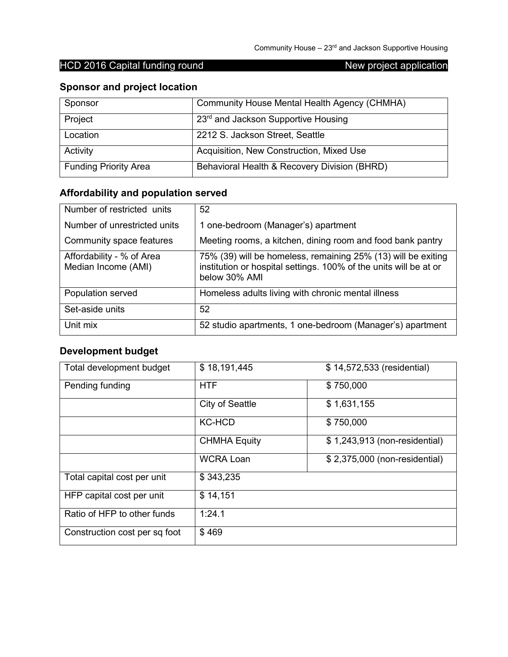## **Sponsor and project location**

| Sponsor                      | Community House Mental Health Agency (CHMHA) |
|------------------------------|----------------------------------------------|
| Project                      | 23rd and Jackson Supportive Housing          |
| Location                     | 2212 S. Jackson Street, Seattle              |
| Activity                     | Acquisition, New Construction, Mixed Use     |
| <b>Funding Priority Area</b> | Behavioral Health & Recovery Division (BHRD) |

# **Affordability and population served**

| Number of restricted units                       | 52                                                                                                                                                  |
|--------------------------------------------------|-----------------------------------------------------------------------------------------------------------------------------------------------------|
| Number of unrestricted units                     | 1 one-bedroom (Manager's) apartment                                                                                                                 |
| Community space features                         | Meeting rooms, a kitchen, dining room and food bank pantry                                                                                          |
| Affordability - % of Area<br>Median Income (AMI) | 75% (39) will be homeless, remaining 25% (13) will be exiting<br>institution or hospital settings. 100% of the units will be at or<br>below 30% AMI |
| Population served                                | Homeless adults living with chronic mental illness                                                                                                  |
| Set-aside units                                  | 52                                                                                                                                                  |
| Unit mix                                         | 52 studio apartments, 1 one-bedroom (Manager's) apartment                                                                                           |

## **Development budget**

| Total development budget      | \$18,191,445        | \$14,572,533 (residential)    |
|-------------------------------|---------------------|-------------------------------|
| Pending funding               | <b>HTF</b>          | \$750,000                     |
|                               | City of Seattle     | \$1,631,155                   |
|                               | <b>KC-HCD</b>       | \$750,000                     |
|                               | <b>CHMHA Equity</b> | \$1,243,913 (non-residential) |
|                               | <b>WCRA Loan</b>    | \$2,375,000 (non-residential) |
| Total capital cost per unit   | \$343,235           |                               |
| HFP capital cost per unit     | \$14,151            |                               |
| Ratio of HFP to other funds   | 1:24.1              |                               |
| Construction cost per sq foot | \$469               |                               |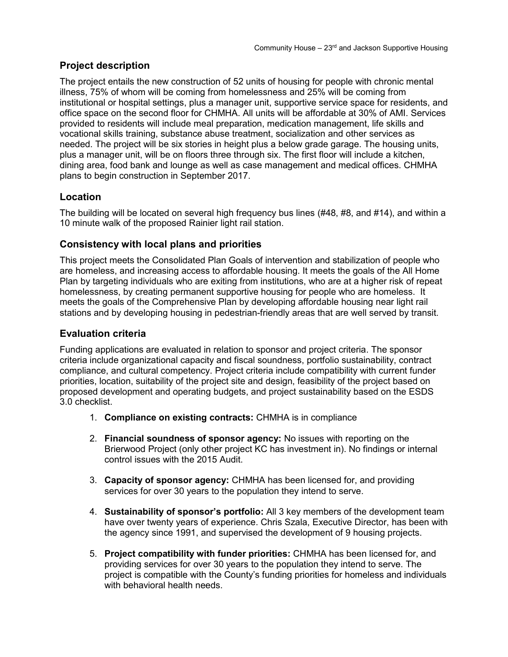## **Project description**

The project entails the new construction of 52 units of housing for people with chronic mental illness, 75% of whom will be coming from homelessness and 25% will be coming from institutional or hospital settings, plus a manager unit, supportive service space for residents, and office space on the second floor for CHMHA. All units will be affordable at 30% of AMI. Services provided to residents will include meal preparation, medication management, life skills and vocational skills training, substance abuse treatment, socialization and other services as needed. The project will be six stories in height plus a below grade garage. The housing units, plus a manager unit, will be on floors three through six. The first floor will include a kitchen, dining area, food bank and lounge as well as case management and medical offices. CHMHA plans to begin construction in September 2017.

## **Location**

The building will be located on several high frequency bus lines (#48, #8, and #14), and within a 10 minute walk of the proposed Rainier light rail station.

## **Consistency with local plans and priorities**

This project meets the Consolidated Plan Goals of intervention and stabilization of people who are homeless, and increasing access to affordable housing. It meets the goals of the All Home Plan by targeting individuals who are exiting from institutions, who are at a higher risk of repeat homelessness, by creating permanent supportive housing for people who are homeless. It meets the goals of the Comprehensive Plan by developing affordable housing near light rail stations and by developing housing in pedestrian-friendly areas that are well served by transit.

## **Evaluation criteria**

- 1. **Compliance on existing contracts:** CHMHA is in compliance
- 2. **Financial soundness of sponsor agency:** No issues with reporting on the Brierwood Project (only other project KC has investment in). No findings or internal control issues with the 2015 Audit.
- 3. **Capacity of sponsor agency:** CHMHA has been licensed for, and providing services for over 30 years to the population they intend to serve.
- 4. **Sustainability of sponsor's portfolio:** All 3 key members of the development team have over twenty years of experience. Chris Szala, Executive Director, has been with the agency since 1991, and supervised the development of 9 housing projects.
- 5. **Project compatibility with funder priorities:** CHMHA has been licensed for, and providing services for over 30 years to the population they intend to serve. The project is compatible with the County's funding priorities for homeless and individuals with behavioral health needs.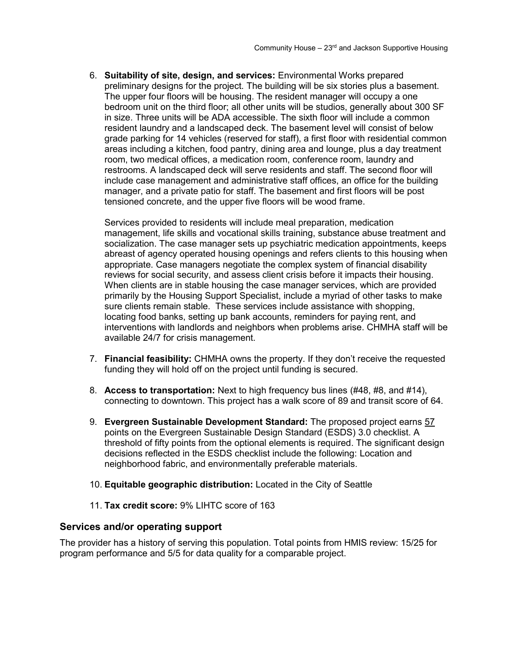6. **Suitability of site, design, and services:** Environmental Works prepared preliminary designs for the project. The building will be six stories plus a basement. The upper four floors will be housing. The resident manager will occupy a one bedroom unit on the third floor; all other units will be studios, generally about 300 SF in size. Three units will be ADA accessible. The sixth floor will include a common resident laundry and a landscaped deck. The basement level will consist of below grade parking for 14 vehicles (reserved for staff), a first floor with residential common areas including a kitchen, food pantry, dining area and lounge, plus a day treatment room, two medical offices, a medication room, conference room, laundry and restrooms. A landscaped deck will serve residents and staff. The second floor will include case management and administrative staff offices, an office for the building manager, and a private patio for staff. The basement and first floors will be post tensioned concrete, and the upper five floors will be wood frame.

Services provided to residents will include meal preparation, medication management, life skills and vocational skills training, substance abuse treatment and socialization. The case manager sets up psychiatric medication appointments, keeps abreast of agency operated housing openings and refers clients to this housing when appropriate. Case managers negotiate the complex system of financial disability reviews for social security, and assess client crisis before it impacts their housing. When clients are in stable housing the case manager services, which are provided primarily by the Housing Support Specialist, include a myriad of other tasks to make sure clients remain stable. These services include assistance with shopping, locating food banks, setting up bank accounts, reminders for paying rent, and interventions with landlords and neighbors when problems arise. CHMHA staff will be available 24/7 for crisis management.

- 7. **Financial feasibility:** CHMHA owns the property. If they don't receive the requested funding they will hold off on the project until funding is secured.
- 8. **Access to transportation:** Next to high frequency bus lines (#48, #8, and #14), connecting to downtown. This project has a walk score of 89 and transit score of 64.
- 9. **Evergreen Sustainable Development Standard:** The proposed project earns 57 points on the Evergreen Sustainable Design Standard (ESDS) 3.0 checklist. A threshold of fifty points from the optional elements is required. The significant design decisions reflected in the ESDS checklist include the following: Location and neighborhood fabric, and environmentally preferable materials.
- 10. **Equitable geographic distribution:** Located in the City of Seattle
- 11. **Tax credit score:** 9% LIHTC score of 163

#### **Services and/or operating support**

The provider has a history of serving this population. Total points from HMIS review: 15/25 for program performance and 5/5 for data quality for a comparable project.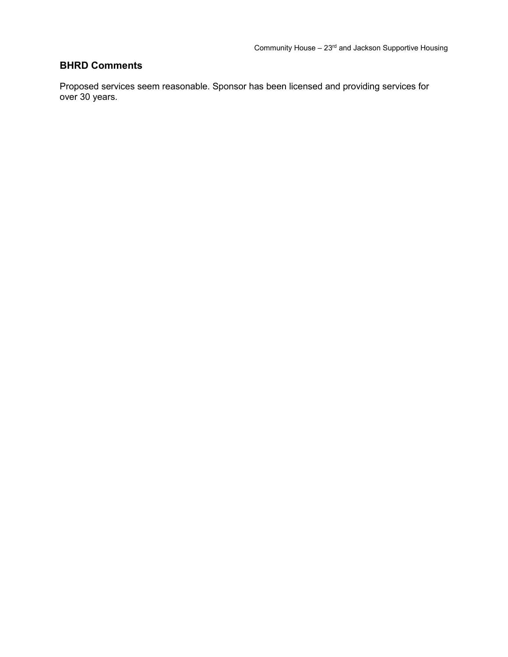## **BHRD Comments**

Proposed services seem reasonable. Sponsor has been licensed and providing services for over 30 years.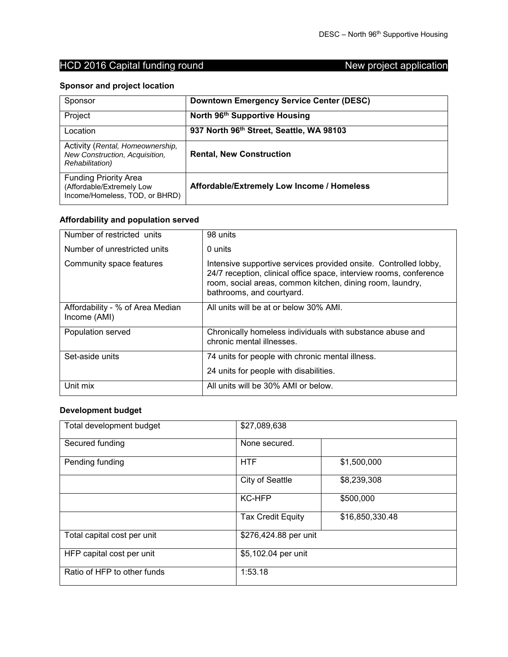## **Sponsor and project location**

| Sponsor                                                                                       | <b>Downtown Emergency Service Center (DESC)</b> |
|-----------------------------------------------------------------------------------------------|-------------------------------------------------|
| Project                                                                                       | North 96th Supportive Housing                   |
| Location                                                                                      | 937 North 96th Street, Seattle, WA 98103        |
| Activity (Rental, Homeownership,<br>New Construction, Acquisition,<br><b>Rehabilitation</b> ) | <b>Rental, New Construction</b>                 |
| <b>Funding Priority Area</b><br>(Affordable/Extremely Low<br>Income/Homeless, TOD, or BHRD)   | Affordable/Extremely Low Income / Homeless      |

## **Affordability and population served**

| Number of restricted units                       | 98 units                                                                                                                                                                                                                         |
|--------------------------------------------------|----------------------------------------------------------------------------------------------------------------------------------------------------------------------------------------------------------------------------------|
| Number of unrestricted units                     | 0 units                                                                                                                                                                                                                          |
| Community space features                         | Intensive supportive services provided onsite. Controlled lobby,<br>24/7 reception, clinical office space, interview rooms, conference<br>room, social areas, common kitchen, dining room, laundry,<br>bathrooms, and courtyard. |
| Affordability - % of Area Median<br>Income (AMI) | All units will be at or below 30% AMI.                                                                                                                                                                                           |
| Population served                                | Chronically homeless individuals with substance abuse and<br>chronic mental illnesses.                                                                                                                                           |
| Set-aside units                                  | 74 units for people with chronic mental illness.                                                                                                                                                                                 |
|                                                  | 24 units for people with disabilities.                                                                                                                                                                                           |
| Unit mix                                         | All units will be 30% AMI or below.                                                                                                                                                                                              |

#### **Development budget**

| Total development budget    | \$27,089,638             |                 |
|-----------------------------|--------------------------|-----------------|
| Secured funding             | None secured.            |                 |
| Pending funding             | <b>HTF</b>               | \$1,500,000     |
|                             | <b>City of Seattle</b>   | \$8,239,308     |
|                             | <b>KC-HFP</b>            | \$500,000       |
|                             | <b>Tax Credit Equity</b> | \$16,850,330.48 |
| Total capital cost per unit | \$276,424.88 per unit    |                 |
| HFP capital cost per unit   | \$5,102.04 per unit      |                 |
| Ratio of HFP to other funds | 1:53.18                  |                 |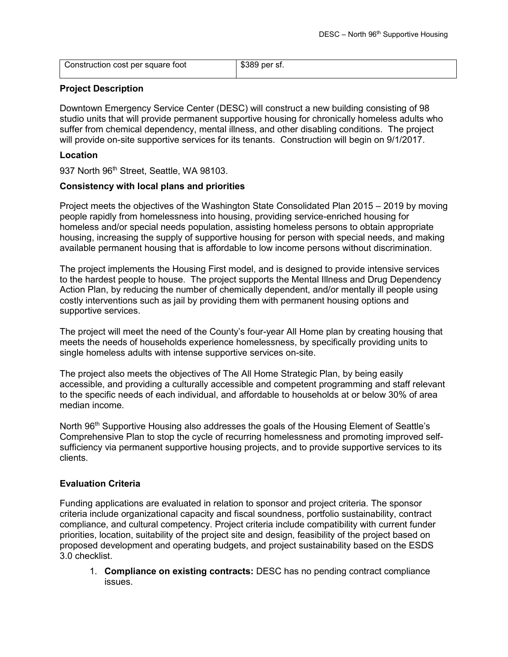| Construction cost per square foot | \$389 per sf. |
|-----------------------------------|---------------|
|                                   |               |

#### **Project Description**

Downtown Emergency Service Center (DESC) will construct a new building consisting of 98 studio units that will provide permanent supportive housing for chronically homeless adults who suffer from chemical dependency, mental illness, and other disabling conditions. The project will provide on-site supportive services for its tenants. Construction will begin on 9/1/2017.

#### **Location**

937 North 96<sup>th</sup> Street, Seattle, WA 98103.

#### **Consistency with local plans and priorities**

Project meets the objectives of the Washington State Consolidated Plan 2015 – 2019 by moving people rapidly from homelessness into housing, providing service-enriched housing for homeless and/or special needs population, assisting homeless persons to obtain appropriate housing, increasing the supply of supportive housing for person with special needs, and making available permanent housing that is affordable to low income persons without discrimination.

The project implements the Housing First model, and is designed to provide intensive services to the hardest people to house. The project supports the Mental Illness and Drug Dependency Action Plan, by reducing the number of chemically dependent, and/or mentally ill people using costly interventions such as jail by providing them with permanent housing options and supportive services.

The project will meet the need of the County's four-year All Home plan by creating housing that meets the needs of households experience homelessness, by specifically providing units to single homeless adults with intense supportive services on-site.

The project also meets the objectives of The All Home Strategic Plan, by being easily accessible, and providing a culturally accessible and competent programming and staff relevant to the specific needs of each individual, and affordable to households at or below 30% of area median income.

North 96<sup>th</sup> Supportive Housing also addresses the goals of the Housing Element of Seattle's Comprehensive Plan to stop the cycle of recurring homelessness and promoting improved selfsufficiency via permanent supportive housing projects, and to provide supportive services to its clients.

#### **Evaluation Criteria**

Funding applications are evaluated in relation to sponsor and project criteria. The sponsor criteria include organizational capacity and fiscal soundness, portfolio sustainability, contract compliance, and cultural competency. Project criteria include compatibility with current funder priorities, location, suitability of the project site and design, feasibility of the project based on proposed development and operating budgets, and project sustainability based on the ESDS 3.0 checklist.

1. **Compliance on existing contracts:** DESC has no pending contract compliance issues.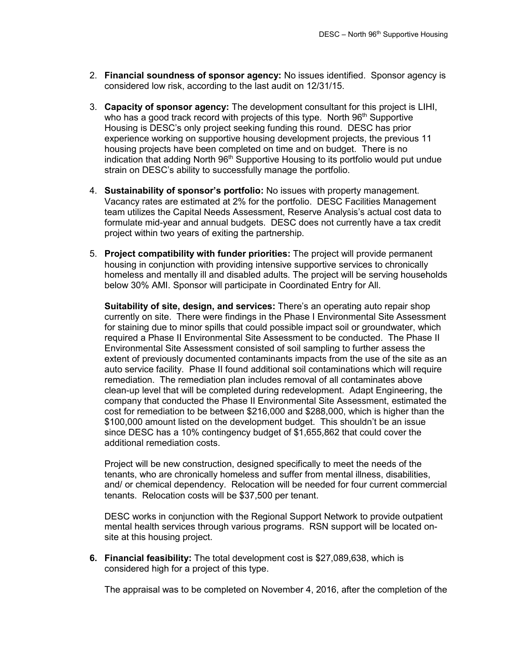- 2. **Financial soundness of sponsor agency:** No issues identified. Sponsor agency is considered low risk, according to the last audit on 12/31/15.
- 3. **Capacity of sponsor agency:** The development consultant for this project is LIHI, who has a good track record with projects of this type. North  $96<sup>th</sup>$  Supportive Housing is DESC's only project seeking funding this round. DESC has prior experience working on supportive housing development projects, the previous 11 housing projects have been completed on time and on budget. There is no indication that adding North 96<sup>th</sup> Supportive Housing to its portfolio would put undue strain on DESC's ability to successfully manage the portfolio.
- 4. **Sustainability of sponsor's portfolio:** No issues with property management. Vacancy rates are estimated at 2% for the portfolio. DESC Facilities Management team utilizes the Capital Needs Assessment, Reserve Analysis's actual cost data to formulate mid-year and annual budgets. DESC does not currently have a tax credit project within two years of exiting the partnership.
- 5. **Project compatibility with funder priorities:** The project will provide permanent housing in conjunction with providing intensive supportive services to chronically homeless and mentally ill and disabled adults. The project will be serving households below 30% AMI. Sponsor will participate in Coordinated Entry for All.

**Suitability of site, design, and services:** There's an operating auto repair shop currently on site. There were findings in the Phase I Environmental Site Assessment for staining due to minor spills that could possible impact soil or groundwater, which required a Phase II Environmental Site Assessment to be conducted. The Phase II Environmental Site Assessment consisted of soil sampling to further assess the extent of previously documented contaminants impacts from the use of the site as an auto service facility. Phase II found additional soil contaminations which will require remediation. The remediation plan includes removal of all contaminates above clean-up level that will be completed during redevelopment. Adapt Engineering, the company that conducted the Phase II Environmental Site Assessment, estimated the cost for remediation to be between \$216,000 and \$288,000, which is higher than the \$100,000 amount listed on the development budget. This shouldn't be an issue since DESC has a 10% contingency budget of \$1,655,862 that could cover the additional remediation costs.

Project will be new construction, designed specifically to meet the needs of the tenants, who are chronically homeless and suffer from mental illness, disabilities, and/ or chemical dependency. Relocation will be needed for four current commercial tenants. Relocation costs will be \$37,500 per tenant.

DESC works in conjunction with the Regional Support Network to provide outpatient mental health services through various programs. RSN support will be located onsite at this housing project.

**6. Financial feasibility:** The total development cost is \$27,089,638, which is considered high for a project of this type.

The appraisal was to be completed on November 4, 2016, after the completion of the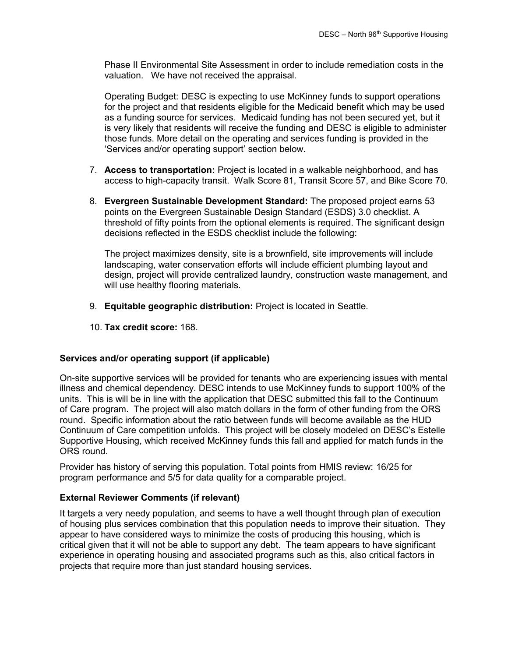Phase II Environmental Site Assessment in order to include remediation costs in the valuation. We have not received the appraisal.

Operating Budget: DESC is expecting to use McKinney funds to support operations for the project and that residents eligible for the Medicaid benefit which may be used as a funding source for services. Medicaid funding has not been secured yet, but it is very likely that residents will receive the funding and DESC is eligible to administer those funds. More detail on the operating and services funding is provided in the 'Services and/or operating support' section below.

- 7. **Access to transportation:** Project is located in a walkable neighborhood, and has access to high-capacity transit. Walk Score 81, Transit Score 57, and Bike Score 70.
- 8. **Evergreen Sustainable Development Standard:** The proposed project earns 53 points on the Evergreen Sustainable Design Standard (ESDS) 3.0 checklist. A threshold of fifty points from the optional elements is required. The significant design decisions reflected in the ESDS checklist include the following:

The project maximizes density, site is a brownfield, site improvements will include landscaping, water conservation efforts will include efficient plumbing layout and design, project will provide centralized laundry, construction waste management, and will use healthy flooring materials.

- 9. **Equitable geographic distribution:** Project is located in Seattle.
- 10. **Tax credit score:** 168.

#### **Services and/or operating support (if applicable)**

On-site supportive services will be provided for tenants who are experiencing issues with mental illness and chemical dependency. DESC intends to use McKinney funds to support 100% of the units. This is will be in line with the application that DESC submitted this fall to the Continuum of Care program. The project will also match dollars in the form of other funding from the ORS round. Specific information about the ratio between funds will become available as the HUD Continuum of Care competition unfolds. This project will be closely modeled on DESC's Estelle Supportive Housing, which received McKinney funds this fall and applied for match funds in the ORS round.

Provider has history of serving this population. Total points from HMIS review: 16/25 for program performance and 5/5 for data quality for a comparable project.

#### **External Reviewer Comments (if relevant)**

It targets a very needy population, and seems to have a well thought through plan of execution of housing plus services combination that this population needs to improve their situation. They appear to have considered ways to minimize the costs of producing this housing, which is critical given that it will not be able to support any debt. The team appears to have significant experience in operating housing and associated programs such as this, also critical factors in projects that require more than just standard housing services.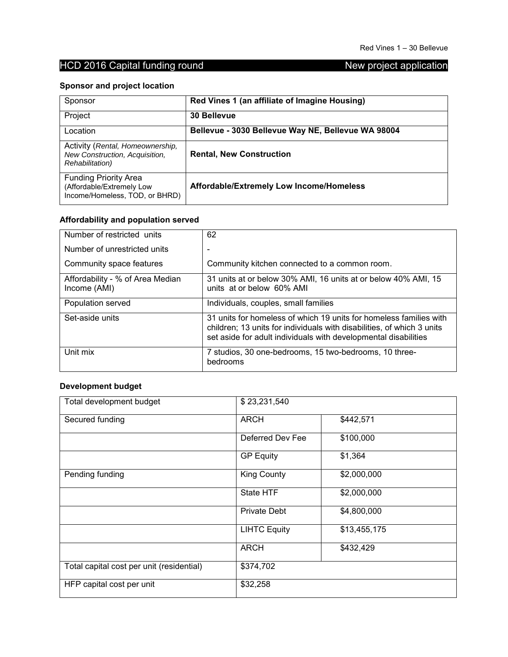## **Sponsor and project location**

| Sponsor                                                                                       | Red Vines 1 (an affiliate of Imagine Housing)      |
|-----------------------------------------------------------------------------------------------|----------------------------------------------------|
| Project                                                                                       | 30 Bellevue                                        |
| Location                                                                                      | Bellevue - 3030 Bellevue Way NE, Bellevue WA 98004 |
| Activity (Rental, Homeownership,<br>New Construction, Acquisition,<br><b>Rehabilitation</b> ) | <b>Rental, New Construction</b>                    |
| <b>Funding Priority Area</b><br>(Affordable/Extremely Low<br>Income/Homeless, TOD, or BHRD)   | Affordable/Extremely Low Income/Homeless           |

## **Affordability and population served**

| Number of restricted units                       | 62                                                                                                                                                                                                              |
|--------------------------------------------------|-----------------------------------------------------------------------------------------------------------------------------------------------------------------------------------------------------------------|
| Number of unrestricted units                     |                                                                                                                                                                                                                 |
| Community space features                         | Community kitchen connected to a common room.                                                                                                                                                                   |
| Affordability - % of Area Median<br>Income (AMI) | 31 units at or below 30% AMI, 16 units at or below 40% AMI, 15<br>units at or below 60% AMI                                                                                                                     |
| Population served                                | Individuals, couples, small families                                                                                                                                                                            |
| Set-aside units                                  | 31 units for homeless of which 19 units for homeless families with<br>children; 13 units for individuals with disabilities, of which 3 units<br>set aside for adult individuals with developmental disabilities |
| Unit mix                                         | 7 studios, 30 one-bedrooms, 15 two-bedrooms, 10 three-<br>bedrooms                                                                                                                                              |

## **Development budget**

| Total development budget                  | \$23,231,540        |              |
|-------------------------------------------|---------------------|--------------|
| Secured funding                           | <b>ARCH</b>         | \$442,571    |
|                                           | Deferred Dev Fee    | \$100,000    |
|                                           | <b>GP Equity</b>    | \$1,364      |
| Pending funding                           | <b>King County</b>  | \$2,000,000  |
|                                           | State HTF           | \$2,000,000  |
|                                           | <b>Private Debt</b> | \$4,800,000  |
|                                           | <b>LIHTC Equity</b> | \$13,455,175 |
|                                           | <b>ARCH</b>         | \$432,429    |
| Total capital cost per unit (residential) | \$374,702           |              |
| HFP capital cost per unit                 | \$32,258            |              |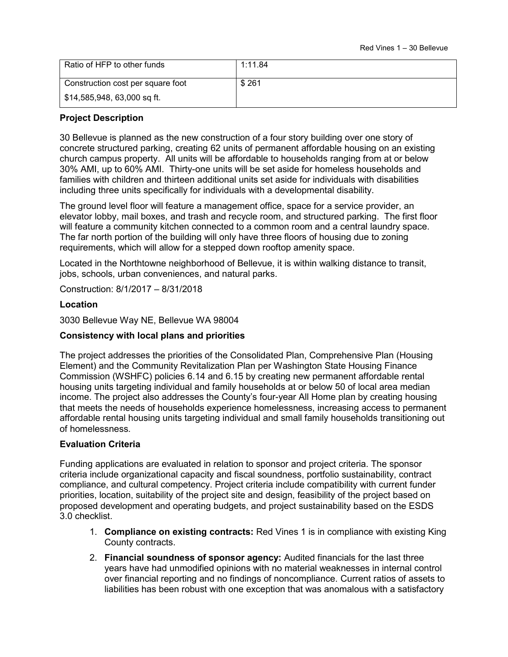| Ratio of HFP to other funds       | 1:11.84 |
|-----------------------------------|---------|
| Construction cost per square foot | \$261   |
| \$14,585,948, 63,000 sq ft.       |         |

#### **Project Description**

30 Bellevue is planned as the new construction of a four story building over one story of concrete structured parking, creating 62 units of permanent affordable housing on an existing church campus property. All units will be affordable to households ranging from at or below 30% AMI, up to 60% AMI. Thirty-one units will be set aside for homeless households and families with children and thirteen additional units set aside for individuals with disabilities including three units specifically for individuals with a developmental disability.

The ground level floor will feature a management office, space for a service provider, an elevator lobby, mail boxes, and trash and recycle room, and structured parking. The first floor will feature a community kitchen connected to a common room and a central laundry space. The far north portion of the building will only have three floors of housing due to zoning requirements, which will allow for a stepped down rooftop amenity space.

Located in the Northtowne neighborhood of Bellevue, it is within walking distance to transit, jobs, schools, urban conveniences, and natural parks.

Construction: 8/1/2017 – 8/31/2018

#### **Location**

3030 Bellevue Way NE, Bellevue WA 98004

#### **Consistency with local plans and priorities**

The project addresses the priorities of the Consolidated Plan, Comprehensive Plan (Housing Element) and the Community Revitalization Plan per Washington State Housing Finance Commission (WSHFC) policies 6.14 and 6.15 by creating new permanent affordable rental housing units targeting individual and family households at or below 50 of local area median income. The project also addresses the County's four-year All Home plan by creating housing that meets the needs of households experience homelessness, increasing access to permanent affordable rental housing units targeting individual and small family households transitioning out of homelessness.

#### **Evaluation Criteria**

- 1. **Compliance on existing contracts:** Red Vines 1 is in compliance with existing King County contracts.
- 2. **Financial soundness of sponsor agency:** Audited financials for the last three years have had unmodified opinions with no material weaknesses in internal control over financial reporting and no findings of noncompliance. Current ratios of assets to liabilities has been robust with one exception that was anomalous with a satisfactory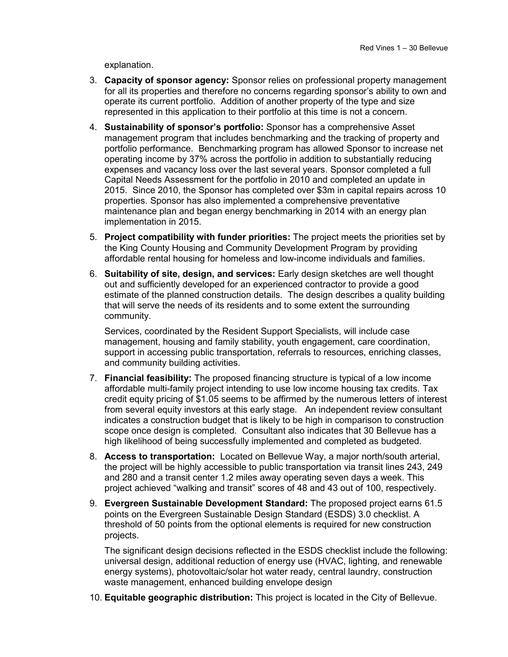explanation.

- 3. **Capacity of sponsor agency:** Sponsor relies on professional property management for all its properties and therefore no concerns regarding sponsor's ability to own and operate its current portfolio. Addition of another property of the type and size represented in this application to their portfolio at this time is not a concern.
- 4. **Sustainability of sponsor's portfolio:** Sponsor has a comprehensive Asset management program that includes benchmarking and the tracking of property and portfolio performance. Benchmarking program has allowed Sponsor to increase net operating income by 37% across the portfolio in addition to substantially reducing expenses and vacancy loss over the last several years. Sponsor completed a full Capital Needs Assessment for the portfolio in 2010 and completed an update in 2015. Since 2010, the Sponsor has completed over \$3m in capital repairs across 10 properties. Sponsor has also implemented a comprehensive preventative maintenance plan and began energy benchmarking in 2014 with an energy plan implementation in 2015.
- 5. **Project compatibility with funder priorities:** The project meets the priorities set by the King County Housing and Community Development Program by providing affordable rental housing for homeless and low-income individuals and families.
- 6. **Suitability of site, design, and services:** Early design sketches are well thought out and sufficiently developed for an experienced contractor to provide a good estimate of the planned construction details. The design describes a quality building that will serve the needs of its residents and to some extent the surrounding community.

Services, coordinated by the Resident Support Specialists, will include case management, housing and family stability, youth engagement, care coordination, support in accessing public transportation, referrals to resources, enriching classes, and community building activities.

- 7. **Financial feasibility:** The proposed financing structure is typical of a low income affordable multi-family project intending to use low income housing tax credits. Tax credit equity pricing of \$1.05 seems to be affirmed by the numerous letters of interest from several equity investors at this early stage. An independent review consultant indicates a construction budget that is likely to be high in comparison to construction scope once design is completed. Consultant also indicates that 30 Bellevue has a high likelihood of being successfully implemented and completed as budgeted.
- 8. **Access to transportation:** Located on Bellevue Way, a major north/south arterial, the project will be highly accessible to public transportation via transit lines 243, 249 and 280 and a transit center 1.2 miles away operating seven days a week. This project achieved "walking and transit" scores of 48 and 43 out of 100, respectively.
- 9. **Evergreen Sustainable Development Standard:** The proposed project earns 61.5 points on the Evergreen Sustainable Design Standard (ESDS) 3.0 checklist. A threshold of 50 points from the optional elements is required for new construction projects.

The significant design decisions reflected in the ESDS checklist include the following: universal design, additional reduction of energy use (HVAC, lighting, and renewable energy systems), photovoltaic/solar hot water ready, central laundry, construction waste management, enhanced building envelope design

10. **Equitable geographic distribution:** This project is located in the City of Bellevue.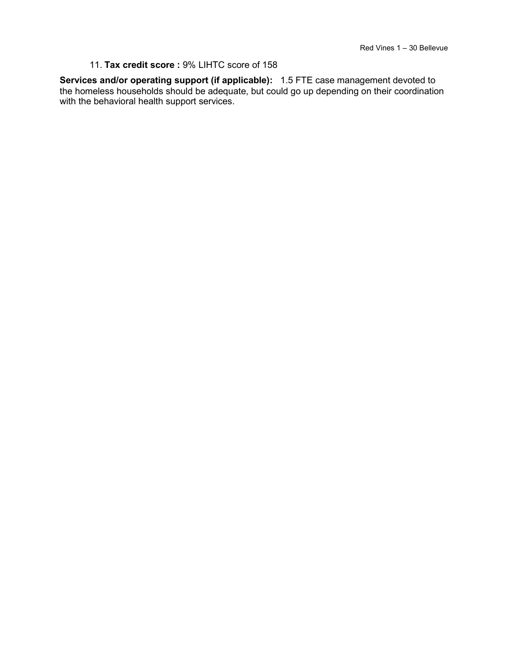#### 11. **Tax credit score :** 9% LIHTC score of 158

**Services and/or operating support (if applicable):** 1.5 FTE case management devoted to the homeless households should be adequate, but could go up depending on their coordination with the behavioral health support services.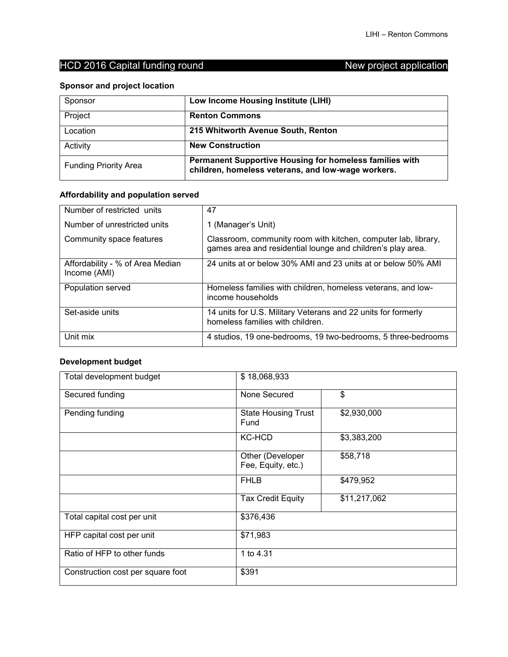## **Sponsor and project location**

| Sponsor                      | Low Income Housing Institute (LIHI)                                                                           |
|------------------------------|---------------------------------------------------------------------------------------------------------------|
| Project                      | <b>Renton Commons</b>                                                                                         |
| Location                     | 215 Whitworth Avenue South, Renton                                                                            |
| Activity                     | <b>New Construction</b>                                                                                       |
| <b>Funding Priority Area</b> | Permanent Supportive Housing for homeless families with<br>children, homeless veterans, and low-wage workers. |

## **Affordability and population served**

| Number of restricted units                       | 47                                                                                                                            |
|--------------------------------------------------|-------------------------------------------------------------------------------------------------------------------------------|
| Number of unrestricted units                     | 1 (Manager's Unit)                                                                                                            |
| Community space features                         | Classroom, community room with kitchen, computer lab, library,<br>games area and residential lounge and children's play area. |
| Affordability - % of Area Median<br>Income (AMI) | 24 units at or below 30% AMI and 23 units at or below 50% AMI                                                                 |
| Population served                                | Homeless families with children, homeless veterans, and low-<br>income households                                             |
| Set-aside units                                  | 14 units for U.S. Military Veterans and 22 units for formerly<br>homeless families with children.                             |
| Unit mix                                         | 4 studios, 19 one-bedrooms, 19 two-bedrooms, 5 three-bedrooms                                                                 |

## **Development budget**

| Total development budget          | \$18,068,933                           |              |
|-----------------------------------|----------------------------------------|--------------|
| Secured funding                   | None Secured                           | \$           |
| Pending funding                   | <b>State Housing Trust</b><br>Fund     | \$2,930,000  |
|                                   | <b>KC-HCD</b>                          | \$3,383,200  |
|                                   | Other (Developer<br>Fee, Equity, etc.) | \$58,718     |
|                                   | <b>FHLB</b>                            | \$479,952    |
|                                   | <b>Tax Credit Equity</b>               | \$11,217,062 |
| Total capital cost per unit       | \$376,436                              |              |
| HFP capital cost per unit         | \$71,983                               |              |
| Ratio of HFP to other funds       | 1 to 4.31                              |              |
| Construction cost per square foot | \$391                                  |              |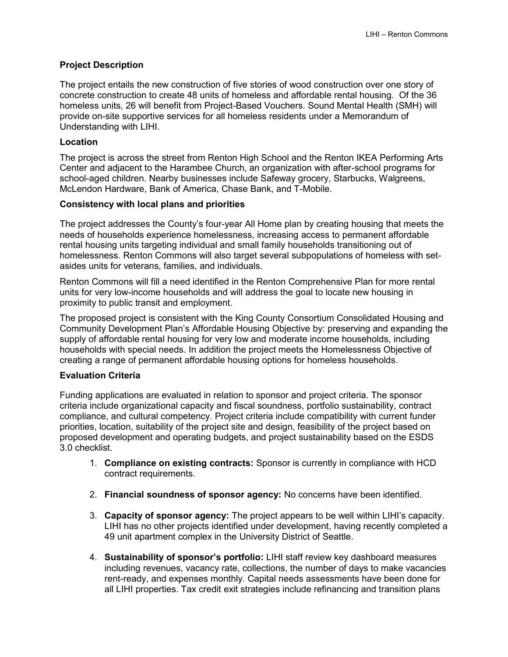### **Project Description**

The project entails the new construction of five stories of wood construction over one story of concrete construction to create 48 units of homeless and affordable rental housing. Of the 36 homeless units, 26 will benefit from Project-Based Vouchers. Sound Mental Health (SMH) will provide on-site supportive services for all homeless residents under a Memorandum of Understanding with LIHI.

#### **Location**

The project is across the street from Renton High School and the Renton IKEA Performing Arts Center and adjacent to the Harambee Church, an organization with after-school programs for school-aged children. Nearby businesses include Safeway grocery, Starbucks, Walgreens, McLendon Hardware, Bank of America, Chase Bank, and T-Mobile.

#### **Consistency with local plans and priorities**

The project addresses the County's four-year All Home plan by creating housing that meets the needs of households experience homelessness, increasing access to permanent affordable rental housing units targeting individual and small family households transitioning out of homelessness. Renton Commons will also target several subpopulations of homeless with setasides units for veterans, families, and individuals.

Renton Commons will fill a need identified in the Renton Comprehensive Plan for more rental units for very low-income households and will address the goal to locate new housing in proximity to public transit and employment.

The proposed project is consistent with the King County Consortium Consolidated Housing and Community Development Plan's Affordable Housing Objective by: preserving and expanding the supply of affordable rental housing for very low and moderate income households, including households with special needs. In addition the project meets the Homelessness Objective of creating a range of permanent affordable housing options for homeless households.

#### **Evaluation Criteria**

- 1. **Compliance on existing contracts:** Sponsor is currently in compliance with HCD contract requirements.
- 2. **Financial soundness of sponsor agency:** No concerns have been identified.
- 3. **Capacity of sponsor agency:** The project appears to be well within LIHI's capacity. LIHI has no other projects identified under development, having recently completed a 49 unit apartment complex in the University District of Seattle.
- 4. **Sustainability of sponsor's portfolio:** LIHI staff review key dashboard measures including revenues, vacancy rate, collections, the number of days to make vacancies rent-ready, and expenses monthly. Capital needs assessments have been done for all LIHI properties. Tax credit exit strategies include refinancing and transition plans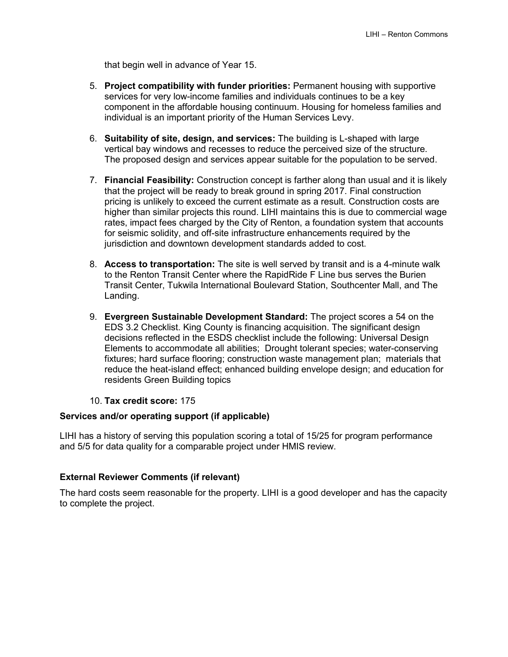that begin well in advance of Year 15.

- 5. **Project compatibility with funder priorities:** Permanent housing with supportive services for very low-income families and individuals continues to be a key component in the affordable housing continuum. Housing for homeless families and individual is an important priority of the Human Services Levy.
- 6. **Suitability of site, design, and services:** The building is L-shaped with large vertical bay windows and recesses to reduce the perceived size of the structure. The proposed design and services appear suitable for the population to be served.
- 7. **Financial Feasibility:** Construction concept is farther along than usual and it is likely that the project will be ready to break ground in spring 2017. Final construction pricing is unlikely to exceed the current estimate as a result. Construction costs are higher than similar projects this round. LIHI maintains this is due to commercial wage rates, impact fees charged by the City of Renton, a foundation system that accounts for seismic solidity, and off-site infrastructure enhancements required by the jurisdiction and downtown development standards added to cost.
- 8. **Access to transportation:** The site is well served by transit and is a 4-minute walk to the Renton Transit Center where the RapidRide F Line bus serves the Burien Transit Center, Tukwila International Boulevard Station, Southcenter Mall, and The Landing.
- 9. **Evergreen Sustainable Development Standard:** The project scores a 54 on the EDS 3.2 Checklist. King County is financing acquisition. The significant design decisions reflected in the ESDS checklist include the following: Universal Design Elements to accommodate all abilities; Drought tolerant species; water-conserving fixtures; hard surface flooring; construction waste management plan; materials that reduce the heat-island effect; enhanced building envelope design; and education for residents Green Building topics

### 10. **Tax credit score:** 175

#### **Services and/or operating support (if applicable)**

LIHI has a history of serving this population scoring a total of 15/25 for program performance and 5/5 for data quality for a comparable project under HMIS review.

### **External Reviewer Comments (if relevant)**

The hard costs seem reasonable for the property. LIHI is a good developer and has the capacity to complete the project.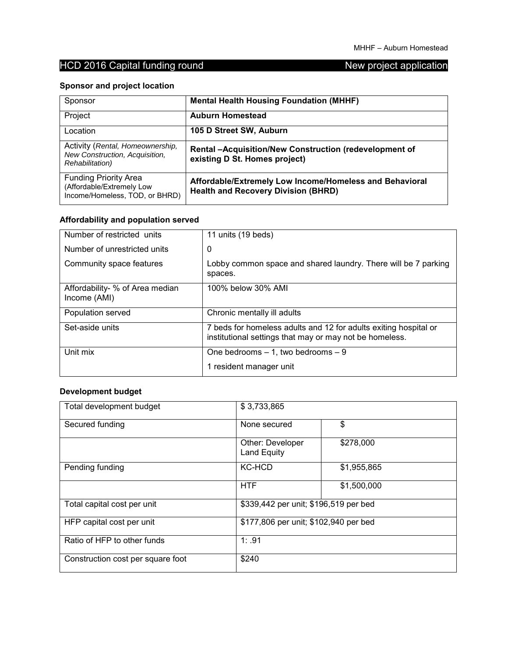## **Sponsor and project location**

| Sponsor                                                                                       | <b>Mental Health Housing Foundation (MHHF)</b>                                                        |
|-----------------------------------------------------------------------------------------------|-------------------------------------------------------------------------------------------------------|
| Project                                                                                       | <b>Auburn Homestead</b>                                                                               |
| Location                                                                                      | 105 D Street SW, Auburn                                                                               |
| Activity (Rental, Homeownership,<br>New Construction, Acquisition,<br><b>Rehabilitation</b> ) | Rental -Acquisition/New Construction (redevelopment of<br>existing D St. Homes project)               |
| <b>Funding Priority Area</b><br>(Affordable/Extremely Low<br>Income/Homeless, TOD, or BHRD)   | Affordable/Extremely Low Income/Homeless and Behavioral<br><b>Health and Recovery Division (BHRD)</b> |

## **Affordability and population served**

| Number of restricted units                      | 11 units (19 beds)                                                                                                          |
|-------------------------------------------------|-----------------------------------------------------------------------------------------------------------------------------|
| Number of unrestricted units                    | 0                                                                                                                           |
| Community space features                        | Lobby common space and shared laundry. There will be 7 parking<br>spaces.                                                   |
| Affordability- % of Area median<br>Income (AMI) | 100% below 30% AMI                                                                                                          |
| Population served                               | Chronic mentally ill adults                                                                                                 |
| Set-aside units                                 | 7 beds for homeless adults and 12 for adults exiting hospital or<br>institutional settings that may or may not be homeless. |
| Unit mix                                        | One bedrooms $-1$ , two bedrooms $-9$                                                                                       |
|                                                 | 1 resident manager unit                                                                                                     |

## **Development budget**

| Total development budget          | \$3,733,865                           |             |
|-----------------------------------|---------------------------------------|-------------|
| Secured funding                   | None secured                          | \$          |
|                                   | Other: Developer<br>Land Equity       | \$278,000   |
| Pending funding                   | <b>KC-HCD</b>                         | \$1,955,865 |
|                                   | <b>HTF</b>                            | \$1,500,000 |
| Total capital cost per unit       | \$339,442 per unit; \$196,519 per bed |             |
| HFP capital cost per unit         | \$177,806 per unit; \$102,940 per bed |             |
| Ratio of HFP to other funds       | 1: .91                                |             |
| Construction cost per square foot | \$240                                 |             |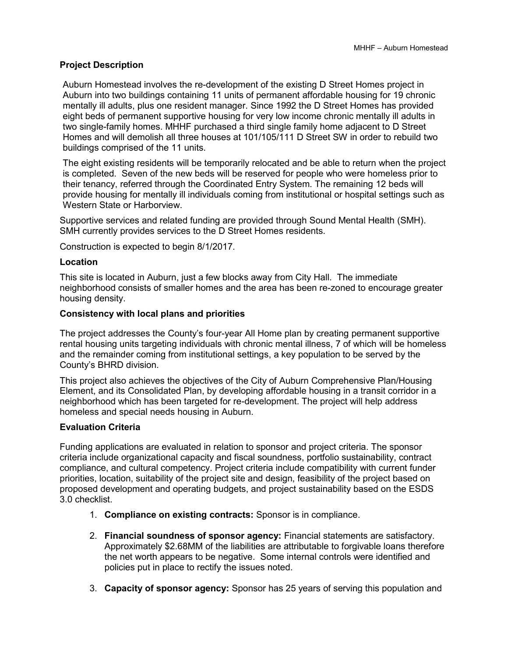#### **Project Description**

Auburn Homestead involves the re-development of the existing D Street Homes project in Auburn into two buildings containing 11 units of permanent affordable housing for 19 chronic mentally ill adults, plus one resident manager. Since 1992 the D Street Homes has provided eight beds of permanent supportive housing for very low income chronic mentally ill adults in two single-family homes. MHHF purchased a third single family home adjacent to D Street Homes and will demolish all three houses at 101/105/111 D Street SW in order to rebuild two buildings comprised of the 11 units.

The eight existing residents will be temporarily relocated and be able to return when the project is completed. Seven of the new beds will be reserved for people who were homeless prior to their tenancy, referred through the Coordinated Entry System. The remaining 12 beds will provide housing for mentally ill individuals coming from institutional or hospital settings such as Western State or Harborview.

Supportive services and related funding are provided through Sound Mental Health (SMH). SMH currently provides services to the D Street Homes residents.

Construction is expected to begin 8/1/2017.

#### **Location**

This site is located in Auburn, just a few blocks away from City Hall. The immediate neighborhood consists of smaller homes and the area has been re-zoned to encourage greater housing density.

#### **Consistency with local plans and priorities**

The project addresses the County's four-year All Home plan by creating permanent supportive rental housing units targeting individuals with chronic mental illness, 7 of which will be homeless and the remainder coming from institutional settings, a key population to be served by the County's BHRD division.

This project also achieves the objectives of the City of Auburn Comprehensive Plan/Housing Element, and its Consolidated Plan, by developing affordable housing in a transit corridor in a neighborhood which has been targeted for re-development. The project will help address homeless and special needs housing in Auburn.

#### **Evaluation Criteria**

- 1. **Compliance on existing contracts:** Sponsor is in compliance.
- 2. **Financial soundness of sponsor agency:** Financial statements are satisfactory. Approximately \$2.68MM of the liabilities are attributable to forgivable loans therefore the net worth appears to be negative. Some internal controls were identified and policies put in place to rectify the issues noted.
- 3. **Capacity of sponsor agency:** Sponsor has 25 years of serving this population and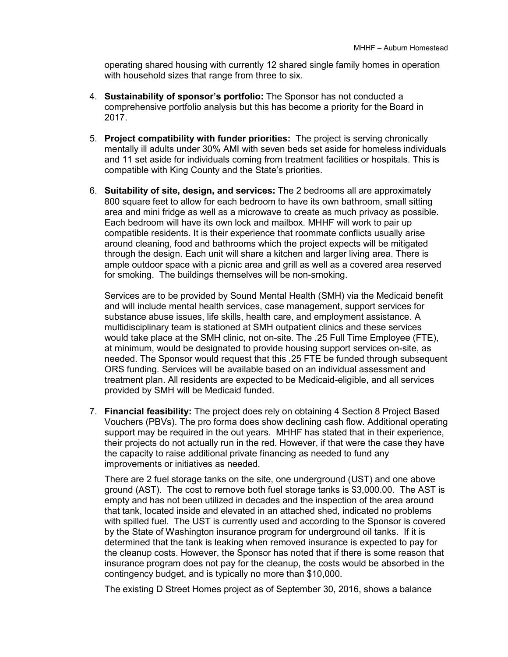operating shared housing with currently 12 shared single family homes in operation with household sizes that range from three to six.

- 4. **Sustainability of sponsor's portfolio:** The Sponsor has not conducted a comprehensive portfolio analysis but this has become a priority for the Board in 2017.
- 5. **Project compatibility with funder priorities:** The project is serving chronically mentally ill adults under 30% AMI with seven beds set aside for homeless individuals and 11 set aside for individuals coming from treatment facilities or hospitals. This is compatible with King County and the State's priorities.
- 6. **Suitability of site, design, and services:** The 2 bedrooms all are approximately 800 square feet to allow for each bedroom to have its own bathroom, small sitting area and mini fridge as well as a microwave to create as much privacy as possible. Each bedroom will have its own lock and mailbox. MHHF will work to pair up compatible residents. It is their experience that roommate conflicts usually arise around cleaning, food and bathrooms which the project expects will be mitigated through the design. Each unit will share a kitchen and larger living area. There is ample outdoor space with a picnic area and grill as well as a covered area reserved for smoking. The buildings themselves will be non-smoking.

Services are to be provided by Sound Mental Health (SMH) via the Medicaid benefit and will include mental health services, case management, support services for substance abuse issues, life skills, health care, and employment assistance. A multidisciplinary team is stationed at SMH outpatient clinics and these services would take place at the SMH clinic, not on-site. The .25 Full Time Employee (FTE), at minimum, would be designated to provide housing support services on-site, as needed. The Sponsor would request that this .25 FTE be funded through subsequent ORS funding. Services will be available based on an individual assessment and treatment plan. All residents are expected to be Medicaid-eligible, and all services provided by SMH will be Medicaid funded.

7. **Financial feasibility:** The project does rely on obtaining 4 Section 8 Project Based Vouchers (PBVs). The pro forma does show declining cash flow. Additional operating support may be required in the out years. MHHF has stated that in their experience, their projects do not actually run in the red. However, if that were the case they have the capacity to raise additional private financing as needed to fund any improvements or initiatives as needed.

There are 2 fuel storage tanks on the site, one underground (UST) and one above ground (AST). The cost to remove both fuel storage tanks is \$3,000.00. The AST is empty and has not been utilized in decades and the inspection of the area around that tank, located inside and elevated in an attached shed, indicated no problems with spilled fuel. The UST is currently used and according to the Sponsor is covered by the State of Washington insurance program for underground oil tanks. If it is determined that the tank is leaking when removed insurance is expected to pay for the cleanup costs. However, the Sponsor has noted that if there is some reason that insurance program does not pay for the cleanup, the costs would be absorbed in the contingency budget, and is typically no more than \$10,000.

The existing D Street Homes project as of September 30, 2016, shows a balance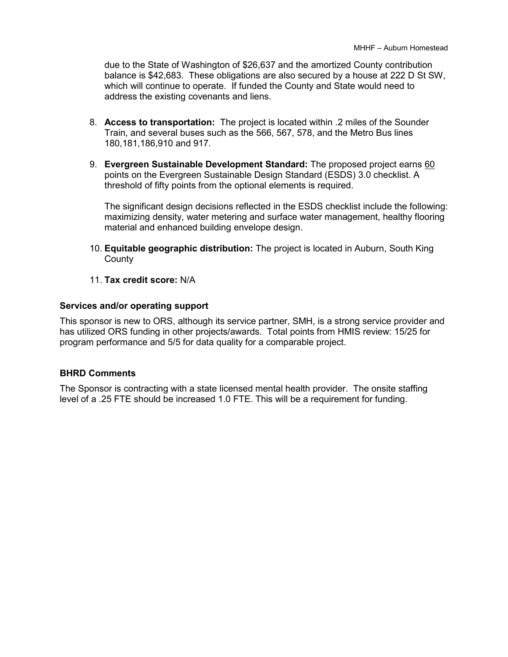due to the State of Washington of \$26,637 and the amortized County contribution balance is \$42,683. These obligations are also secured by a house at 222 D St SW, which will continue to operate. If funded the County and State would need to address the existing covenants and liens.

- 8. **Access to transportation:** The project is located within .2 miles of the Sounder Train, and several buses such as the 566, 567, 578, and the Metro Bus lines 180,181,186,910 and 917.
- 9. **Evergreen Sustainable Development Standard:** The proposed project earns 60 points on the Evergreen Sustainable Design Standard (ESDS) 3.0 checklist. A threshold of fifty points from the optional elements is required.

The significant design decisions reflected in the ESDS checklist include the following: maximizing density, water metering and surface water management, healthy flooring material and enhanced building envelope design.

- 10. **Equitable geographic distribution:** The project is located in Auburn, South King **County**
- 11. **Tax credit score:** N/A

#### **Services and/or operating support**

This sponsor is new to ORS, although its service partner, SMH, is a strong service provider and has utilized ORS funding in other projects/awards. Total points from HMIS review: 15/25 for program performance and 5/5 for data quality for a comparable project.

#### **BHRD Comments**

The Sponsor is contracting with a state licensed mental health provider. The onsite staffing level of a .25 FTE should be increased 1.0 FTE. This will be a requirement for funding.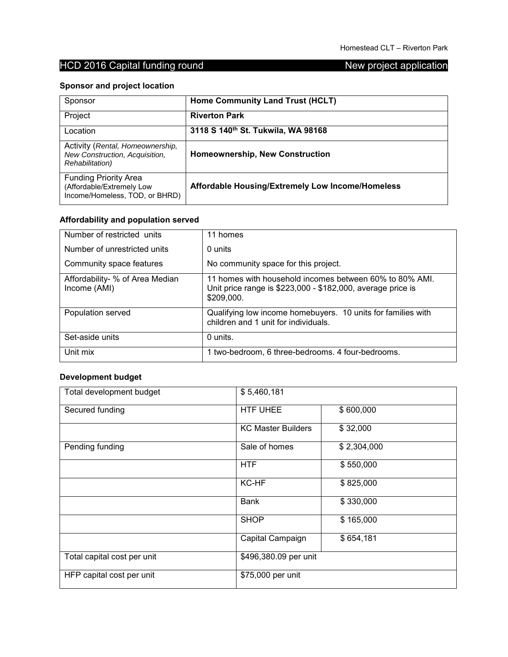## **Sponsor and project location**

| Sponsor                                                                                       | Home Community Land Trust (HCLT)                 |
|-----------------------------------------------------------------------------------------------|--------------------------------------------------|
| Project                                                                                       | <b>Riverton Park</b>                             |
| Location                                                                                      | 3118 S 140th St. Tukwila, WA 98168               |
| Activity (Rental, Homeownership,<br>New Construction, Acquisition,<br><b>Rehabilitation</b> ) | <b>Homeownership, New Construction</b>           |
| <b>Funding Priority Area</b><br>(Affordable/Extremely Low<br>Income/Homeless, TOD, or BHRD)   | Affordable Housing/Extremely Low Income/Homeless |

## **Affordability and population served**

| Number of restricted units                      | 11 homes                                                                                                                             |
|-------------------------------------------------|--------------------------------------------------------------------------------------------------------------------------------------|
| Number of unrestricted units                    | 0 units                                                                                                                              |
| Community space features                        | No community space for this project.                                                                                                 |
| Affordability- % of Area Median<br>Income (AMI) | 11 homes with household incomes between 60% to 80% AMI.<br>Unit price range is \$223,000 - \$182,000, average price is<br>\$209,000. |
| Population served                               | Qualifying low income homebuyers. 10 units for families with<br>children and 1 unit for individuals.                                 |
| Set-aside units                                 | 0 units.                                                                                                                             |
| Unit mix                                        | 1 two-bedroom, 6 three-bedrooms. 4 four-bedrooms.                                                                                    |

## **Development budget**

| Total development budget    | \$5,460,181               |             |
|-----------------------------|---------------------------|-------------|
| Secured funding             | <b>HTF UHEE</b>           | \$600,000   |
|                             | <b>KC Master Builders</b> | \$32,000    |
| Pending funding             | Sale of homes             | \$2,304,000 |
|                             | <b>HTF</b>                | \$550,000   |
|                             | KC-HF                     | \$825,000   |
|                             | <b>Bank</b>               | \$330,000   |
|                             | <b>SHOP</b>               | \$165,000   |
|                             | Capital Campaign          | \$654,181   |
| Total capital cost per unit | \$496,380.09 per unit     |             |
| HFP capital cost per unit   | \$75,000 per unit         |             |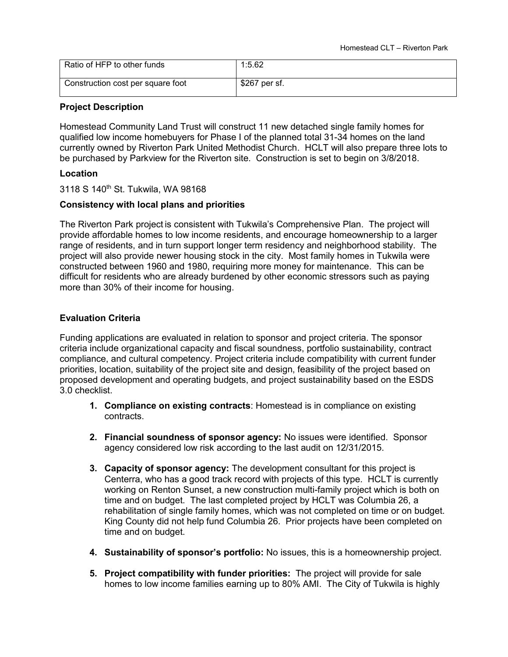| Ratio of HFP to other funds       | 1:5.62        |
|-----------------------------------|---------------|
| Construction cost per square foot | \$267 per sf. |

#### **Project Description**

Homestead Community Land Trust will construct 11 new detached single family homes for qualified low income homebuyers for Phase I of the planned total 31-34 homes on the land currently owned by Riverton Park United Methodist Church. HCLT will also prepare three lots to be purchased by Parkview for the Riverton site. Construction is set to begin on 3/8/2018.

#### **Location**

3118 S 140<sup>th</sup> St. Tukwila, WA 98168

#### **Consistency with local plans and priorities**

The Riverton Park project is consistent with Tukwila's Comprehensive Plan. The project will provide affordable homes to low income residents, and encourage homeownership to a larger range of residents, and in turn support longer term residency and neighborhood stability. The project will also provide newer housing stock in the city. Most family homes in Tukwila were constructed between 1960 and 1980, requiring more money for maintenance. This can be difficult for residents who are already burdened by other economic stressors such as paying more than 30% of their income for housing.

#### **Evaluation Criteria**

- **1. Compliance on existing contracts**: Homestead is in compliance on existing contracts.
- **2. Financial soundness of sponsor agency:** No issues were identified. Sponsor agency considered low risk according to the last audit on 12/31/2015.
- **3. Capacity of sponsor agency:** The development consultant for this project is Centerra, who has a good track record with projects of this type. HCLT is currently working on Renton Sunset, a new construction multi-family project which is both on time and on budget. The last completed project by HCLT was Columbia 26, a rehabilitation of single family homes, which was not completed on time or on budget. King County did not help fund Columbia 26. Prior projects have been completed on time and on budget.
- **4. Sustainability of sponsor's portfolio:** No issues, this is a homeownership project.
- **5. Project compatibility with funder priorities:** The project will provide for sale homes to low income families earning up to 80% AMI. The City of Tukwila is highly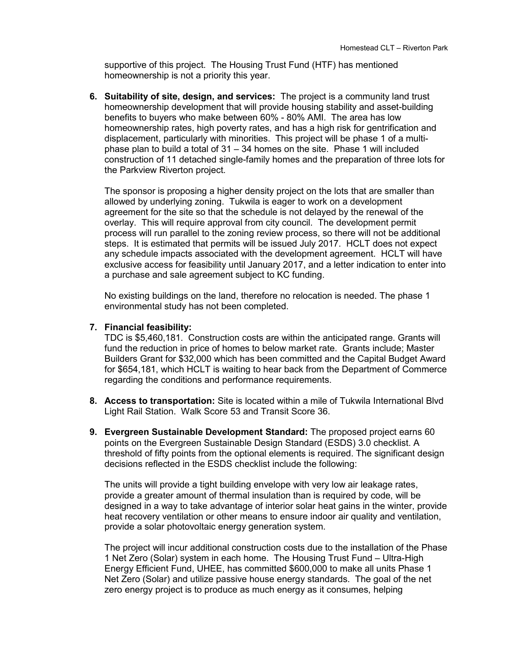supportive of this project. The Housing Trust Fund (HTF) has mentioned homeownership is not a priority this year.

**6. Suitability of site, design, and services:** The project is a community land trust homeownership development that will provide housing stability and asset-building benefits to buyers who make between 60% - 80% AMI. The area has low homeownership rates, high poverty rates, and has a high risk for gentrification and displacement, particularly with minorities. This project will be phase 1 of a multiphase plan to build a total of  $31 - 34$  homes on the site. Phase 1 will included construction of 11 detached single-family homes and the preparation of three lots for the Parkview Riverton project.

The sponsor is proposing a higher density project on the lots that are smaller than allowed by underlying zoning. Tukwila is eager to work on a development agreement for the site so that the schedule is not delayed by the renewal of the overlay. This will require approval from city council. The development permit process will run parallel to the zoning review process, so there will not be additional steps. It is estimated that permits will be issued July 2017. HCLT does not expect any schedule impacts associated with the development agreement. HCLT will have exclusive access for feasibility until January 2017, and a letter indication to enter into a purchase and sale agreement subject to KC funding.

No existing buildings on the land, therefore no relocation is needed. The phase 1 environmental study has not been completed.

#### **7. Financial feasibility:**

TDC is \$5,460,181. Construction costs are within the anticipated range. Grants will fund the reduction in price of homes to below market rate. Grants include; Master Builders Grant for \$32,000 which has been committed and the Capital Budget Award for \$654,181, which HCLT is waiting to hear back from the Department of Commerce regarding the conditions and performance requirements.

- **8. Access to transportation:** Site is located within a mile of Tukwila International Blvd Light Rail Station. Walk Score 53 and Transit Score 36.
- **9. Evergreen Sustainable Development Standard:** The proposed project earns 60 points on the Evergreen Sustainable Design Standard (ESDS) 3.0 checklist. A threshold of fifty points from the optional elements is required. The significant design decisions reflected in the ESDS checklist include the following:

The units will provide a tight building envelope with very low air leakage rates, provide a greater amount of thermal insulation than is required by code, will be designed in a way to take advantage of interior solar heat gains in the winter, provide heat recovery ventilation or other means to ensure indoor air quality and ventilation, provide a solar photovoltaic energy generation system.

The project will incur additional construction costs due to the installation of the Phase 1 Net Zero (Solar) system in each home. The Housing Trust Fund – Ultra-High Energy Efficient Fund, UHEE, has committed \$600,000 to make all units Phase 1 Net Zero (Solar) and utilize passive house energy standards. The goal of the net zero energy project is to produce as much energy as it consumes, helping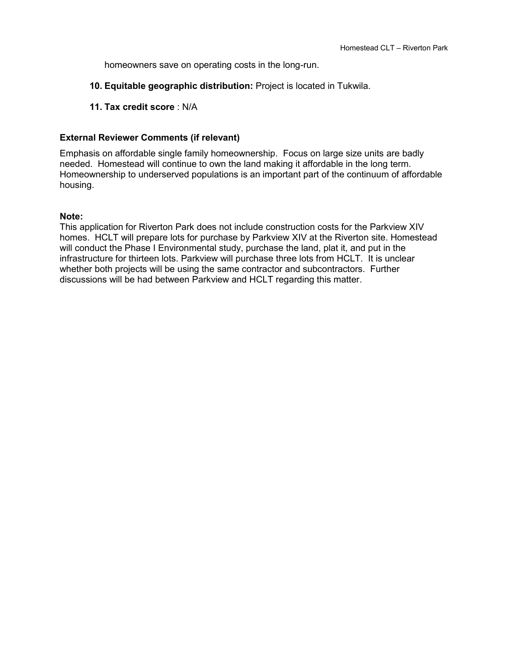homeowners save on operating costs in the long-run.

- **10. Equitable geographic distribution:** Project is located in Tukwila.
- **11. Tax credit score** : N/A

### **External Reviewer Comments (if relevant)**

Emphasis on affordable single family homeownership. Focus on large size units are badly needed. Homestead will continue to own the land making it affordable in the long term. Homeownership to underserved populations is an important part of the continuum of affordable housing.

#### **Note:**

This application for Riverton Park does not include construction costs for the Parkview XIV homes. HCLT will prepare lots for purchase by Parkview XIV at the Riverton site. Homestead will conduct the Phase I Environmental study, purchase the land, plat it, and put in the infrastructure for thirteen lots. Parkview will purchase three lots from HCLT. It is unclear whether both projects will be using the same contractor and subcontractors. Further discussions will be had between Parkview and HCLT regarding this matter.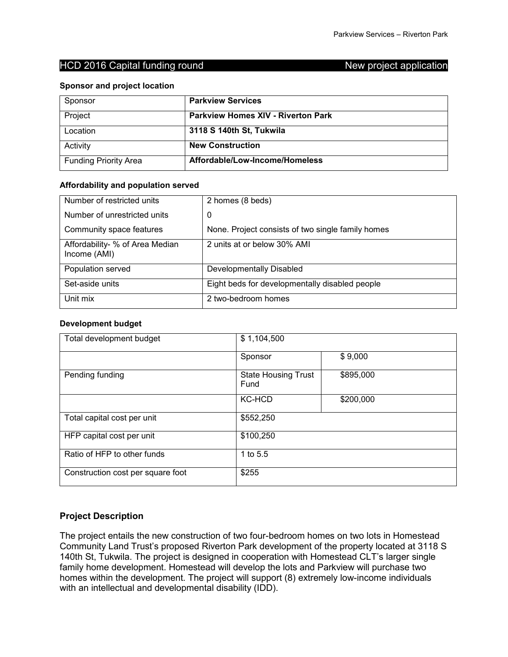#### **Sponsor and project location**

| Sponsor                      | <b>Parkview Services</b>                  |
|------------------------------|-------------------------------------------|
| Project                      | <b>Parkview Homes XIV - Riverton Park</b> |
| Location                     | 3118 S 140th St, Tukwila                  |
| Activity                     | <b>New Construction</b>                   |
| <b>Funding Priority Area</b> | Affordable/Low-Income/Homeless            |

#### **Affordability and population served**

| Number of restricted units                      | 2 homes (8 beds)                                  |
|-------------------------------------------------|---------------------------------------------------|
| Number of unrestricted units                    | 0                                                 |
| Community space features                        | None. Project consists of two single family homes |
| Affordability- % of Area Median<br>Income (AMI) | 2 units at or below 30% AMI                       |
| Population served                               | Developmentally Disabled                          |
| Set-aside units                                 | Eight beds for developmentally disabled people    |
| Unit mix                                        | 2 two-bedroom homes                               |

#### **Development budget**

| Total development budget          | \$1,104,500                        |           |
|-----------------------------------|------------------------------------|-----------|
|                                   | Sponsor                            | \$9,000   |
| Pending funding                   | <b>State Housing Trust</b><br>Fund | \$895,000 |
|                                   | <b>KC-HCD</b>                      | \$200,000 |
| Total capital cost per unit       | \$552,250                          |           |
| HFP capital cost per unit         | \$100,250                          |           |
| Ratio of HFP to other funds       | 1 to 5.5                           |           |
| Construction cost per square foot | \$255                              |           |

### **Project Description**

The project entails the new construction of two four-bedroom homes on two lots in Homestead Community Land Trust's proposed Riverton Park development of the property located at 3118 S 140th St, Tukwila. The project is designed in cooperation with Homestead CLT's larger single family home development. Homestead will develop the lots and Parkview will purchase two homes within the development. The project will support (8) extremely low-income individuals with an intellectual and developmental disability (IDD).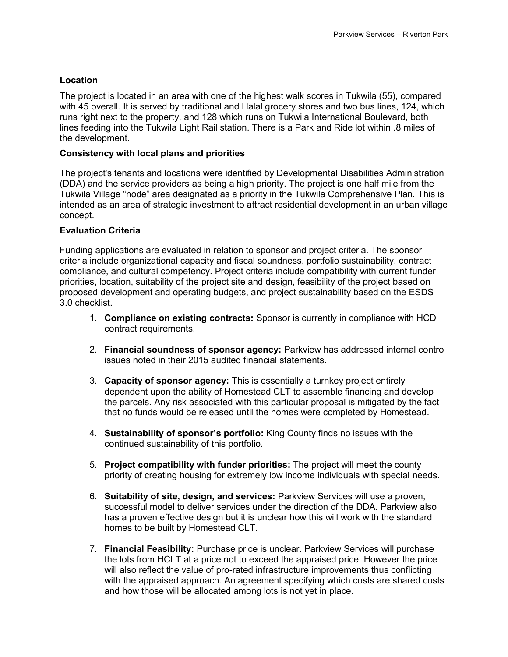### **Location**

The project is located in an area with one of the highest walk scores in Tukwila (55), compared with 45 overall. It is served by traditional and Halal grocery stores and two bus lines, 124, which runs right next to the property, and 128 which runs on Tukwila International Boulevard, both lines feeding into the Tukwila Light Rail station. There is a Park and Ride lot within .8 miles of the development.

#### **Consistency with local plans and priorities**

The project's tenants and locations were identified by Developmental Disabilities Administration (DDA) and the service providers as being a high priority. The project is one half mile from the Tukwila Village "node" area designated as a priority in the Tukwila Comprehensive Plan. This is intended as an area of strategic investment to attract residential development in an urban village concept.

#### **Evaluation Criteria**

- 1. **Compliance on existing contracts:** Sponsor is currently in compliance with HCD contract requirements.
- 2. **Financial soundness of sponsor agency:** Parkview has addressed internal control issues noted in their 2015 audited financial statements.
- 3. **Capacity of sponsor agency:** This is essentially a turnkey project entirely dependent upon the ability of Homestead CLT to assemble financing and develop the parcels. Any risk associated with this particular proposal is mitigated by the fact that no funds would be released until the homes were completed by Homestead.
- 4. **Sustainability of sponsor's portfolio:** King County finds no issues with the continued sustainability of this portfolio.
- 5. **Project compatibility with funder priorities:** The project will meet the county priority of creating housing for extremely low income individuals with special needs.
- 6. **Suitability of site, design, and services:** Parkview Services will use a proven, successful model to deliver services under the direction of the DDA. Parkview also has a proven effective design but it is unclear how this will work with the standard homes to be built by Homestead CLT.
- 7. **Financial Feasibility:** Purchase price is unclear. Parkview Services will purchase the lots from HCLT at a price not to exceed the appraised price. However the price will also reflect the value of pro-rated infrastructure improvements thus conflicting with the appraised approach. An agreement specifying which costs are shared costs and how those will be allocated among lots is not yet in place.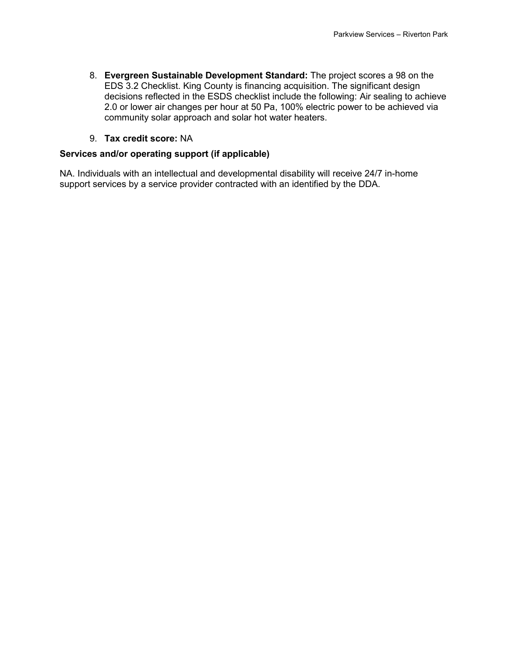8. **Evergreen Sustainable Development Standard:** The project scores a 98 on the EDS 3.2 Checklist. King County is financing acquisition. The significant design decisions reflected in the ESDS checklist include the following: Air sealing to achieve 2.0 or lower air changes per hour at 50 Pa, 100% electric power to be achieved via community solar approach and solar hot water heaters.

### 9. **Tax credit score:** NA

### **Services and/or operating support (if applicable)**

NA. Individuals with an intellectual and developmental disability will receive 24/7 in-home support services by a service provider contracted with an identified by the DDA.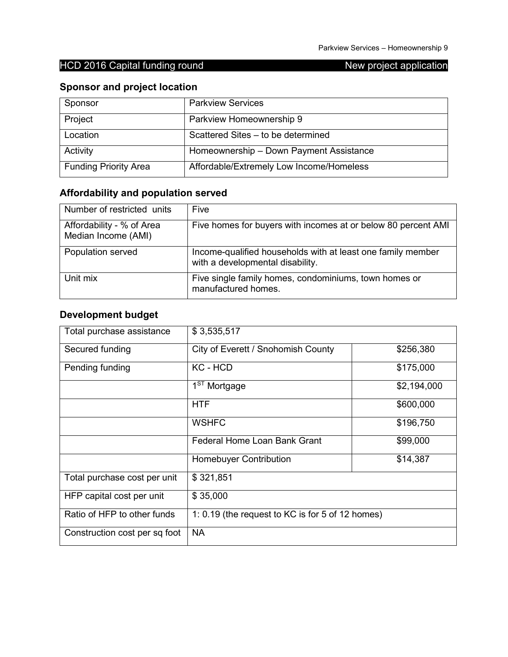## **Sponsor and project location**

| Sponsor                      | <b>Parkview Services</b>                 |
|------------------------------|------------------------------------------|
| Project                      | Parkview Homeownership 9                 |
| Location                     | Scattered Sites - to be determined       |
| Activity                     | Homeownership - Down Payment Assistance  |
| <b>Funding Priority Area</b> | Affordable/Extremely Low Income/Homeless |

# **Affordability and population served**

| Number of restricted units                       | Five                                                                                            |
|--------------------------------------------------|-------------------------------------------------------------------------------------------------|
| Affordability - % of Area<br>Median Income (AMI) | Five homes for buyers with incomes at or below 80 percent AMI                                   |
| Population served                                | Income-qualified households with at least one family member<br>with a developmental disability. |
| Unit mix                                         | Five single family homes, condominiums, town homes or<br>manufactured homes.                    |

## **Development budget**

| Total purchase assistance     | \$3,535,517                                      |             |
|-------------------------------|--------------------------------------------------|-------------|
| Secured funding               | City of Everett / Snohomish County               | \$256,380   |
| Pending funding               | KC - HCD                                         | \$175,000   |
|                               | 1 <sup>ST</sup> Mortgage                         | \$2,194,000 |
|                               | <b>HTF</b>                                       | \$600,000   |
|                               | <b>WSHFC</b>                                     | \$196,750   |
|                               | <b>Federal Home Loan Bank Grant</b>              | \$99,000    |
|                               | <b>Homebuyer Contribution</b>                    | \$14,387    |
| Total purchase cost per unit  | \$321,851                                        |             |
| HFP capital cost per unit     | \$35,000                                         |             |
| Ratio of HFP to other funds   | 1: 0.19 (the request to KC is for 5 of 12 homes) |             |
| Construction cost per sq foot | <b>NA</b>                                        |             |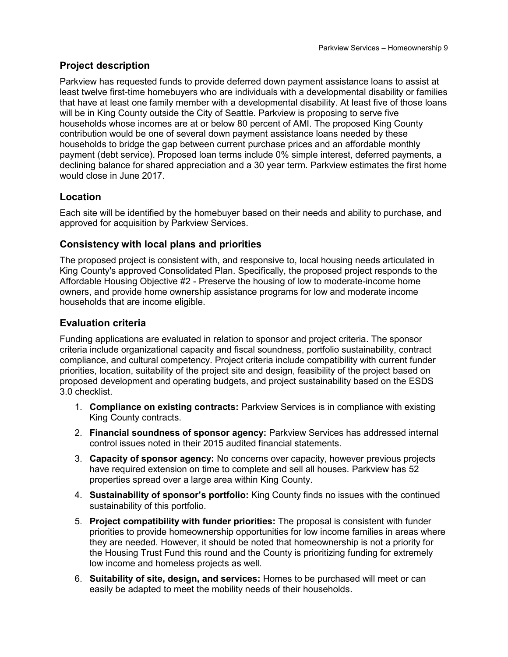## **Project description**

Parkview has requested funds to provide deferred down payment assistance loans to assist at least twelve first-time homebuyers who are individuals with a developmental disability or families that have at least one family member with a developmental disability. At least five of those loans will be in King County outside the City of Seattle. Parkview is proposing to serve five households whose incomes are at or below 80 percent of AMI. The proposed King County contribution would be one of several down payment assistance loans needed by these households to bridge the gap between current purchase prices and an affordable monthly payment (debt service). Proposed loan terms include 0% simple interest, deferred payments, a declining balance for shared appreciation and a 30 year term. Parkview estimates the first home would close in June 2017.

## **Location**

Each site will be identified by the homebuyer based on their needs and ability to purchase, and approved for acquisition by Parkview Services.

## **Consistency with local plans and priorities**

The proposed project is consistent with, and responsive to, local housing needs articulated in King County's approved Consolidated Plan. Specifically, the proposed project responds to the Affordable Housing Objective #2 - Preserve the housing of low to moderate-income home owners, and provide home ownership assistance programs for low and moderate income households that are income eligible.

## **Evaluation criteria**

- 1. **Compliance on existing contracts:** Parkview Services is in compliance with existing King County contracts.
- 2. **Financial soundness of sponsor agency:** Parkview Services has addressed internal control issues noted in their 2015 audited financial statements.
- 3. **Capacity of sponsor agency:** No concerns over capacity, however previous projects have required extension on time to complete and sell all houses. Parkview has 52 properties spread over a large area within King County.
- 4. **Sustainability of sponsor's portfolio:** King County finds no issues with the continued sustainability of this portfolio.
- 5. **Project compatibility with funder priorities:** The proposal is consistent with funder priorities to provide homeownership opportunities for low income families in areas where they are needed. However, it should be noted that homeownership is not a priority for the Housing Trust Fund this round and the County is prioritizing funding for extremely low income and homeless projects as well.
- 6. **Suitability of site, design, and services:** Homes to be purchased will meet or can easily be adapted to meet the mobility needs of their households.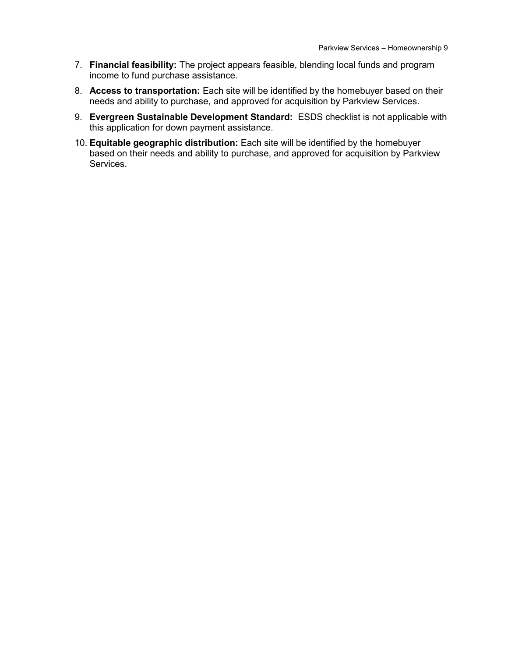- 7. **Financial feasibility:** The project appears feasible, blending local funds and program income to fund purchase assistance.
- 8. **Access to transportation:** Each site will be identified by the homebuyer based on their needs and ability to purchase, and approved for acquisition by Parkview Services.
- 9. **Evergreen Sustainable Development Standard:** ESDS checklist is not applicable with this application for down payment assistance.
- 10. **Equitable geographic distribution:** Each site will be identified by the homebuyer based on their needs and ability to purchase, and approved for acquisition by Parkview Services.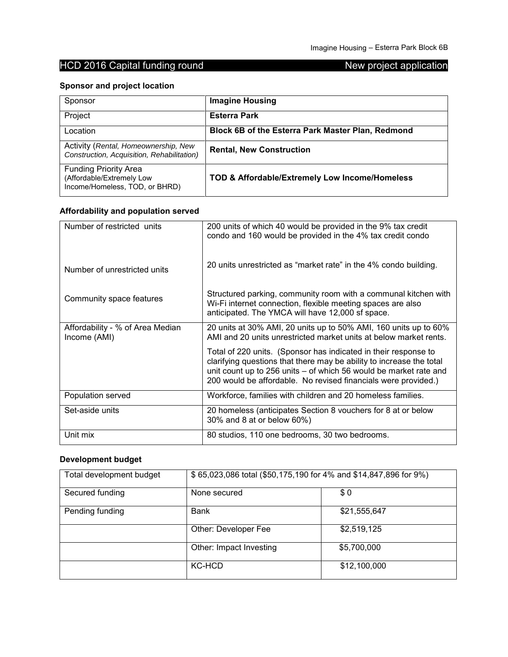## **Sponsor and project location**

| Sponsor                                                                                     | <b>Imagine Housing</b>                            |
|---------------------------------------------------------------------------------------------|---------------------------------------------------|
| Project                                                                                     | <b>Esterra Park</b>                               |
| Location                                                                                    | Block 6B of the Esterra Park Master Plan, Redmond |
| Activity (Rental, Homeownership, New<br>Construction, Acquisition, Rehabilitation)          | <b>Rental, New Construction</b>                   |
| <b>Funding Priority Area</b><br>(Affordable/Extremely Low<br>Income/Homeless, TOD, or BHRD) | TOD & Affordable/Extremely Low Income/Homeless    |

## **Affordability and population served**

| Number of restricted units                       | 200 units of which 40 would be provided in the 9% tax credit<br>condo and 160 would be provided in the 4% tax credit condo                                                                                                                                                     |
|--------------------------------------------------|--------------------------------------------------------------------------------------------------------------------------------------------------------------------------------------------------------------------------------------------------------------------------------|
| Number of unrestricted units                     | 20 units unrestricted as "market rate" in the 4% condo building.                                                                                                                                                                                                               |
| Community space features                         | Structured parking, community room with a communal kitchen with<br>Wi-Fi internet connection, flexible meeting spaces are also<br>anticipated. The YMCA will have 12,000 sf space.                                                                                             |
| Affordability - % of Area Median<br>Income (AMI) | 20 units at 30% AMI, 20 units up to 50% AMI, 160 units up to 60%<br>AMI and 20 units unrestricted market units at below market rents.                                                                                                                                          |
|                                                  | Total of 220 units. (Sponsor has indicated in their response to<br>clarifying questions that there may be ability to increase the total<br>unit count up to 256 units - of which 56 would be market rate and<br>200 would be affordable. No revised financials were provided.) |
| Population served                                | Workforce, families with children and 20 homeless families.                                                                                                                                                                                                                    |
| Set-aside units                                  | 20 homeless (anticipates Section 8 vouchers for 8 at or below<br>30% and 8 at or below 60%)                                                                                                                                                                                    |
| Unit mix                                         | 80 studios, 110 one bedrooms, 30 two bedrooms.                                                                                                                                                                                                                                 |

## **Development budget**

| Total development budget | \$65,023,086 total (\$50,175,190 for 4% and \$14,847,896 for 9%) |              |
|--------------------------|------------------------------------------------------------------|--------------|
| Secured funding          | None secured                                                     | \$0          |
| Pending funding          | <b>Bank</b>                                                      | \$21,555,647 |
|                          | Other: Developer Fee                                             | \$2,519,125  |
|                          | Other: Impact Investing                                          | \$5,700,000  |
|                          | KC-HCD                                                           | \$12,100,000 |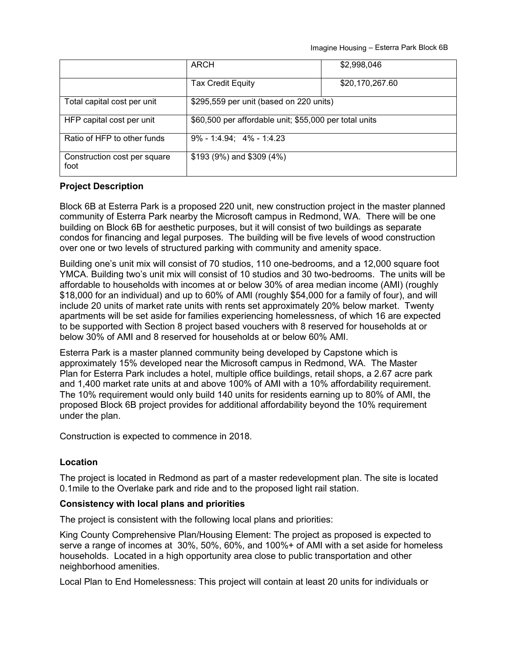Imagine Housing – Esterra Park Block 6B

|                                      | ARCH                                                   | \$2,998,046     |
|--------------------------------------|--------------------------------------------------------|-----------------|
|                                      | <b>Tax Credit Equity</b>                               | \$20,170,267.60 |
| Total capital cost per unit          | \$295,559 per unit (based on 220 units)                |                 |
| HFP capital cost per unit            | \$60,500 per affordable unit; \$55,000 per total units |                 |
| Ratio of HFP to other funds          | $9\% - 1:4.94$ ; $4\% - 1:4.23$                        |                 |
| Construction cost per square<br>foot | $$193 (9%)$ and $$309 (4%)$                            |                 |

#### **Project Description**

Block 6B at Esterra Park is a proposed 220 unit, new construction project in the master planned community of Esterra Park nearby the Microsoft campus in Redmond, WA. There will be one building on Block 6B for aesthetic purposes, but it will consist of two buildings as separate condos for financing and legal purposes. The building will be five levels of wood construction over one or two levels of structured parking with community and amenity space.

Building one's unit mix will consist of 70 studios, 110 one-bedrooms, and a 12,000 square foot YMCA. Building two's unit mix will consist of 10 studios and 30 two-bedrooms. The units will be affordable to households with incomes at or below 30% of area median income (AMI) (roughly \$18,000 for an individual) and up to 60% of AMI (roughly \$54,000 for a family of four), and will include 20 units of market rate units with rents set approximately 20% below market. Twenty apartments will be set aside for families experiencing homelessness, of which 16 are expected to be supported with Section 8 project based vouchers with 8 reserved for households at or below 30% of AMI and 8 reserved for households at or below 60% AMI.

Esterra Park is a master planned community being developed by Capstone which is approximately 15% developed near the Microsoft campus in Redmond, WA. The Master Plan for Esterra Park includes a hotel, multiple office buildings, retail shops, a 2.67 acre park and 1,400 market rate units at and above 100% of AMI with a 10% affordability requirement. The 10% requirement would only build 140 units for residents earning up to 80% of AMI, the proposed Block 6B project provides for additional affordability beyond the 10% requirement under the plan.

Construction is expected to commence in 2018.

#### **Location**

The project is located in Redmond as part of a master redevelopment plan. The site is located 0.1mile to the Overlake park and ride and to the proposed light rail station.

#### **Consistency with local plans and priorities**

The project is consistent with the following local plans and priorities:

King County Comprehensive Plan/Housing Element: The project as proposed is expected to serve a range of incomes at 30%, 50%, 60%, and 100%+ of AMI with a set aside for homeless households. Located in a high opportunity area close to public transportation and other neighborhood amenities.

Local Plan to End Homelessness: This project will contain at least 20 units for individuals or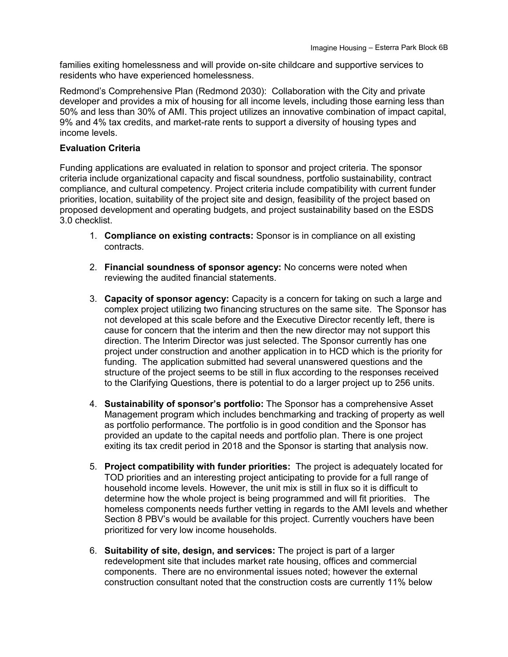families exiting homelessness and will provide on-site childcare and supportive services to residents who have experienced homelessness.

Redmond's Comprehensive Plan (Redmond 2030): Collaboration with the City and private developer and provides a mix of housing for all income levels, including those earning less than 50% and less than 30% of AMI. This project utilizes an innovative combination of impact capital, 9% and 4% tax credits, and market-rate rents to support a diversity of housing types and income levels.

#### **Evaluation Criteria**

- 1. **Compliance on existing contracts:** Sponsor is in compliance on all existing contracts.
- 2. **Financial soundness of sponsor agency:** No concerns were noted when reviewing the audited financial statements.
- 3. **Capacity of sponsor agency:** Capacity is a concern for taking on such a large and complex project utilizing two financing structures on the same site. The Sponsor has not developed at this scale before and the Executive Director recently left, there is cause for concern that the interim and then the new director may not support this direction. The Interim Director was just selected. The Sponsor currently has one project under construction and another application in to HCD which is the priority for funding. The application submitted had several unanswered questions and the structure of the project seems to be still in flux according to the responses received to the Clarifying Questions, there is potential to do a larger project up to 256 units.
- 4. **Sustainability of sponsor's portfolio:** The Sponsor has a comprehensive Asset Management program which includes benchmarking and tracking of property as well as portfolio performance. The portfolio is in good condition and the Sponsor has provided an update to the capital needs and portfolio plan. There is one project exiting its tax credit period in 2018 and the Sponsor is starting that analysis now.
- 5. **Project compatibility with funder priorities:** The project is adequately located for TOD priorities and an interesting project anticipating to provide for a full range of household income levels. However, the unit mix is still in flux so it is difficult to determine how the whole project is being programmed and will fit priorities. The homeless components needs further vetting in regards to the AMI levels and whether Section 8 PBV's would be available for this project. Currently vouchers have been prioritized for very low income households.
- 6. **Suitability of site, design, and services:** The project is part of a larger redevelopment site that includes market rate housing, offices and commercial components. There are no environmental issues noted; however the external construction consultant noted that the construction costs are currently 11% below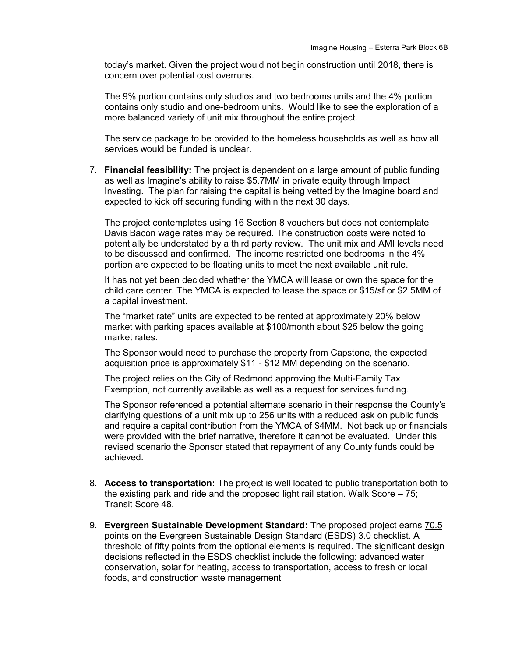today's market. Given the project would not begin construction until 2018, there is concern over potential cost overruns.

The 9% portion contains only studios and two bedrooms units and the 4% portion contains only studio and one-bedroom units. Would like to see the exploration of a more balanced variety of unit mix throughout the entire project.

The service package to be provided to the homeless households as well as how all services would be funded is unclear.

7. **Financial feasibility:** The project is dependent on a large amount of public funding as well as Imagine's ability to raise \$5.7MM in private equity through Impact Investing. The plan for raising the capital is being vetted by the Imagine board and expected to kick off securing funding within the next 30 days.

The project contemplates using 16 Section 8 vouchers but does not contemplate Davis Bacon wage rates may be required. The construction costs were noted to potentially be understated by a third party review. The unit mix and AMI levels need to be discussed and confirmed. The income restricted one bedrooms in the 4% portion are expected to be floating units to meet the next available unit rule.

It has not yet been decided whether the YMCA will lease or own the space for the child care center. The YMCA is expected to lease the space or \$15/sf or \$2.5MM of a capital investment.

The "market rate" units are expected to be rented at approximately 20% below market with parking spaces available at \$100/month about \$25 below the going market rates.

The Sponsor would need to purchase the property from Capstone, the expected acquisition price is approximately \$11 - \$12 MM depending on the scenario.

The project relies on the City of Redmond approving the Multi-Family Tax Exemption, not currently available as well as a request for services funding.

The Sponsor referenced a potential alternate scenario in their response the County's clarifying questions of a unit mix up to 256 units with a reduced ask on public funds and require a capital contribution from the YMCA of \$4MM. Not back up or financials were provided with the brief narrative, therefore it cannot be evaluated. Under this revised scenario the Sponsor stated that repayment of any County funds could be achieved.

- 8. **Access to transportation:** The project is well located to public transportation both to the existing park and ride and the proposed light rail station. Walk Score – 75; Transit Score 48.
- 9. **Evergreen Sustainable Development Standard:** The proposed project earns 70.5 points on the Evergreen Sustainable Design Standard (ESDS) 3.0 checklist. A threshold of fifty points from the optional elements is required. The significant design decisions reflected in the ESDS checklist include the following: advanced water conservation, solar for heating, access to transportation, access to fresh or local foods, and construction waste management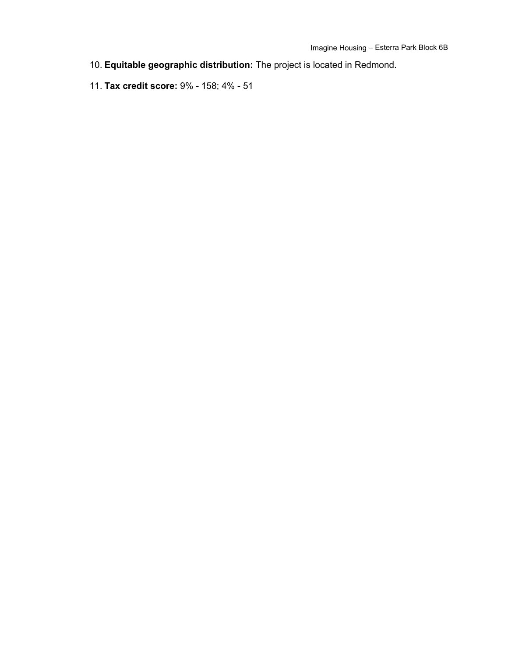- 10. **Equitable geographic distribution:** The project is located in Redmond.
- 11. **Tax credit score:** 9% 158; 4% 51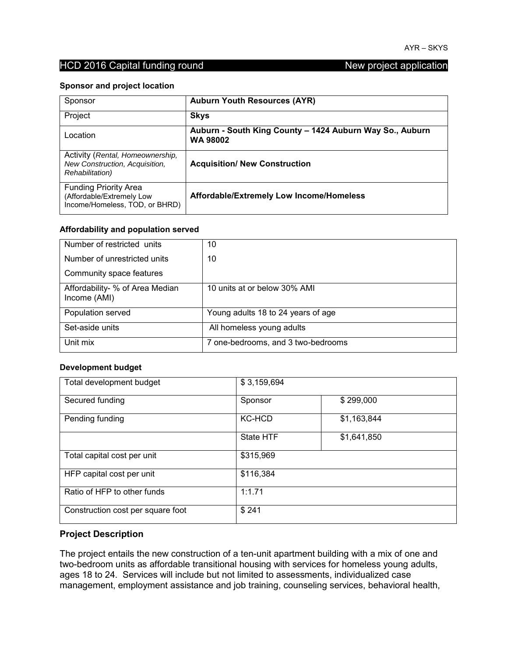#### **Sponsor and project location**

| Sponsor                                                                                       | <b>Auburn Youth Resources (AYR)</b>                                         |
|-----------------------------------------------------------------------------------------------|-----------------------------------------------------------------------------|
| Project                                                                                       | <b>Skys</b>                                                                 |
| Location                                                                                      | Auburn - South King County - 1424 Auburn Way So., Auburn<br><b>WA 98002</b> |
| Activity (Rental, Homeownership,<br>New Construction, Acquisition,<br><b>Rehabilitation</b> ) | <b>Acquisition/ New Construction</b>                                        |
| <b>Funding Priority Area</b><br>(Affordable/Extremely Low<br>Income/Homeless, TOD, or BHRD)   | Affordable/Extremely Low Income/Homeless                                    |

#### **Affordability and population served**

| Number of restricted units                      | 10                                 |
|-------------------------------------------------|------------------------------------|
| Number of unrestricted units                    | 10                                 |
| Community space features                        |                                    |
| Affordability- % of Area Median<br>Income (AMI) | 10 units at or below 30% AMI       |
| Population served                               | Young adults 18 to 24 years of age |
| Set-aside units                                 | All homeless young adults          |
| Unit mix                                        | 7 one-bedrooms, and 3 two-bedrooms |

#### **Development budget**

| Total development budget          | \$3,159,694      |             |
|-----------------------------------|------------------|-------------|
| Secured funding                   | Sponsor          | \$299,000   |
| Pending funding                   | <b>KC-HCD</b>    | \$1,163,844 |
|                                   | <b>State HTF</b> | \$1,641,850 |
| Total capital cost per unit       | \$315,969        |             |
| HFP capital cost per unit         | \$116,384        |             |
| Ratio of HFP to other funds       | 1:1.71           |             |
| Construction cost per square foot | \$241            |             |

#### **Project Description**

The project entails the new construction of a ten-unit apartment building with a mix of one and two-bedroom units as affordable transitional housing with services for homeless young adults, ages 18 to 24. Services will include but not limited to assessments, individualized case management, employment assistance and job training, counseling services, behavioral health,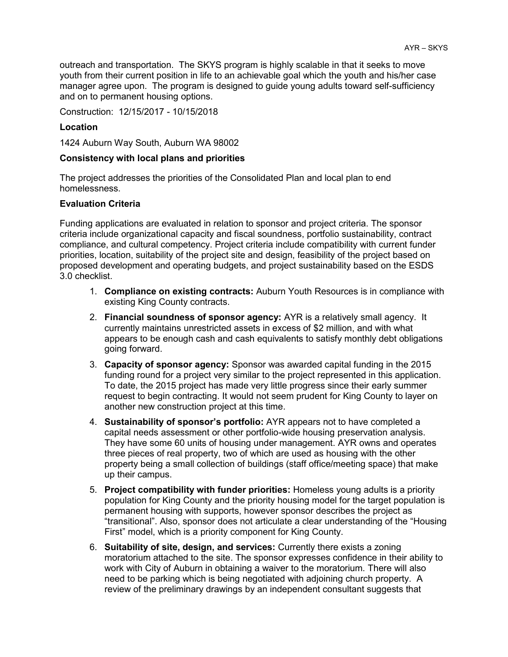outreach and transportation. The SKYS program is highly scalable in that it seeks to move youth from their current position in life to an achievable goal which the youth and his/her case manager agree upon. The program is designed to guide young adults toward self-sufficiency and on to permanent housing options.

Construction: 12/15/2017 - 10/15/2018

#### **Location**

1424 Auburn Way South, Auburn WA 98002

#### **Consistency with local plans and priorities**

The project addresses the priorities of the Consolidated Plan and local plan to end homelessness.

#### **Evaluation Criteria**

- 1. **Compliance on existing contracts:** Auburn Youth Resources is in compliance with existing King County contracts.
- 2. **Financial soundness of sponsor agency:** AYR is a relatively small agency. It currently maintains unrestricted assets in excess of \$2 million, and with what appears to be enough cash and cash equivalents to satisfy monthly debt obligations going forward.
- 3. **Capacity of sponsor agency:** Sponsor was awarded capital funding in the 2015 funding round for a project very similar to the project represented in this application. To date, the 2015 project has made very little progress since their early summer request to begin contracting. It would not seem prudent for King County to layer on another new construction project at this time.
- 4. **Sustainability of sponsor's portfolio:** AYR appears not to have completed a capital needs assessment or other portfolio-wide housing preservation analysis. They have some 60 units of housing under management. AYR owns and operates three pieces of real property, two of which are used as housing with the other property being a small collection of buildings (staff office/meeting space) that make up their campus.
- 5. **Project compatibility with funder priorities:** Homeless young adults is a priority population for King County and the priority housing model for the target population is permanent housing with supports, however sponsor describes the project as "transitional". Also, sponsor does not articulate a clear understanding of the "Housing First" model, which is a priority component for King County.
- 6. **Suitability of site, design, and services:** Currently there exists a zoning moratorium attached to the site. The sponsor expresses confidence in their ability to work with City of Auburn in obtaining a waiver to the moratorium. There will also need to be parking which is being negotiated with adjoining church property. A review of the preliminary drawings by an independent consultant suggests that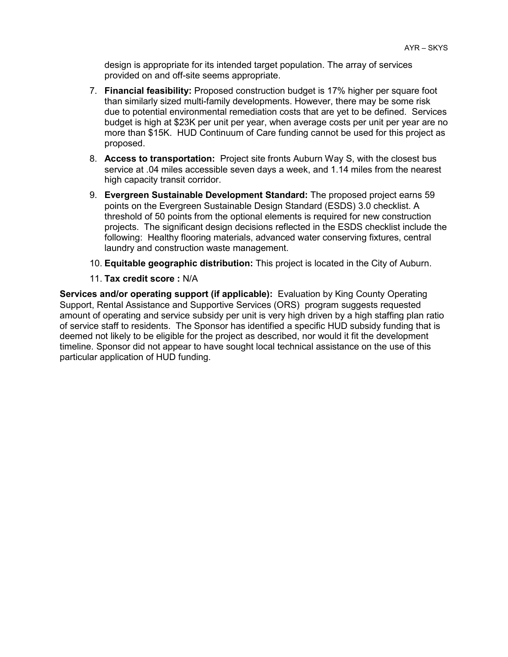design is appropriate for its intended target population. The array of services provided on and off-site seems appropriate.

- 7. **Financial feasibility:** Proposed construction budget is 17% higher per square foot than similarly sized multi-family developments. However, there may be some risk due to potential environmental remediation costs that are yet to be defined. Services budget is high at \$23K per unit per year, when average costs per unit per year are no more than \$15K. HUD Continuum of Care funding cannot be used for this project as proposed.
- 8. **Access to transportation:** Project site fronts Auburn Way S, with the closest bus service at .04 miles accessible seven days a week, and 1.14 miles from the nearest high capacity transit corridor.
- 9. **Evergreen Sustainable Development Standard:** The proposed project earns 59 points on the Evergreen Sustainable Design Standard (ESDS) 3.0 checklist. A threshold of 50 points from the optional elements is required for new construction projects. The significant design decisions reflected in the ESDS checklist include the following: Healthy flooring materials, advanced water conserving fixtures, central laundry and construction waste management.
- 10. **Equitable geographic distribution:** This project is located in the City of Auburn.
- 11. **Tax credit score :** N/A

**Services and/or operating support (if applicable):** Evaluation by King County Operating Support, Rental Assistance and Supportive Services (ORS) program suggests requested amount of operating and service subsidy per unit is very high driven by a high staffing plan ratio of service staff to residents. The Sponsor has identified a specific HUD subsidy funding that is deemed not likely to be eligible for the project as described, nor would it fit the development timeline. Sponsor did not appear to have sought local technical assistance on the use of this particular application of HUD funding.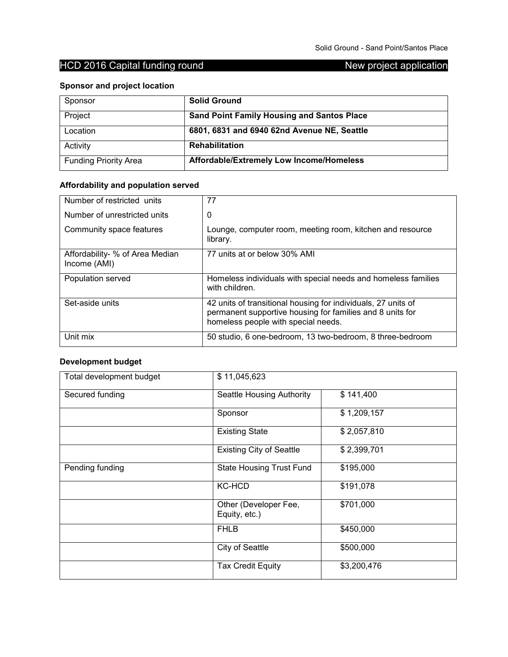## **Sponsor and project location**

| Sponsor                      | <b>Solid Ground</b>                               |
|------------------------------|---------------------------------------------------|
| Project                      | <b>Sand Point Family Housing and Santos Place</b> |
| Location                     | 6801, 6831 and 6940 62nd Avenue NE, Seattle       |
| Activity                     | <b>Rehabilitation</b>                             |
| <b>Funding Priority Area</b> | Affordable/Extremely Low Income/Homeless          |

## **Affordability and population served**

| Number of restricted units                      | 77                                                                                                                                                                |
|-------------------------------------------------|-------------------------------------------------------------------------------------------------------------------------------------------------------------------|
| Number of unrestricted units                    | 0                                                                                                                                                                 |
| Community space features                        | Lounge, computer room, meeting room, kitchen and resource<br>library.                                                                                             |
| Affordability- % of Area Median<br>Income (AMI) | 77 units at or below 30% AMI                                                                                                                                      |
| Population served                               | Homeless individuals with special needs and homeless families<br>with children.                                                                                   |
| Set-aside units                                 | 42 units of transitional housing for individuals, 27 units of<br>permanent supportive housing for families and 8 units for<br>homeless people with special needs. |
| Unit mix                                        | 50 studio, 6 one-bedroom, 13 two-bedroom, 8 three-bedroom                                                                                                         |

## **Development budget**

| Total development budget | \$11,045,623                           |             |
|--------------------------|----------------------------------------|-------------|
| Secured funding          | Seattle Housing Authority              | \$141,400   |
|                          | Sponsor                                | \$1,209,157 |
|                          | <b>Existing State</b>                  | \$2,057,810 |
|                          | <b>Existing City of Seattle</b>        | \$2,399,701 |
| Pending funding          | <b>State Housing Trust Fund</b>        | \$195,000   |
|                          | <b>KC-HCD</b>                          | \$191,078   |
|                          | Other (Developer Fee,<br>Equity, etc.) | \$701,000   |
|                          | <b>FHLB</b>                            | \$450,000   |
|                          | <b>City of Seattle</b>                 | \$500,000   |
|                          | <b>Tax Credit Equity</b>               | \$3,200,476 |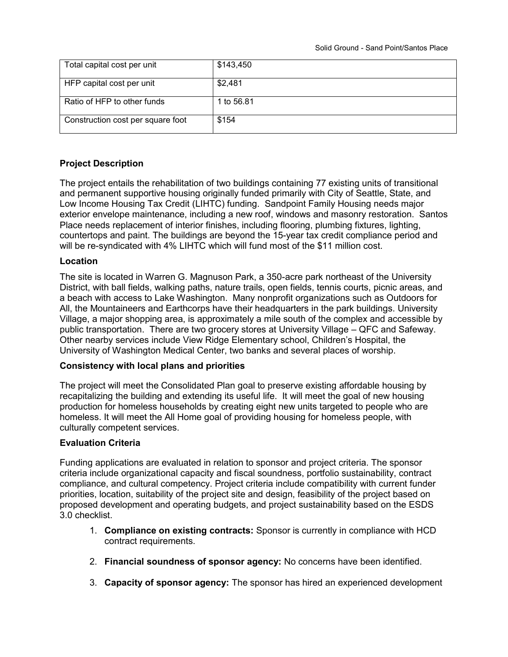| Total capital cost per unit       | \$143,450  |
|-----------------------------------|------------|
| HFP capital cost per unit         | \$2,481    |
| Ratio of HFP to other funds       | 1 to 56.81 |
| Construction cost per square foot | \$154      |

### **Project Description**

The project entails the rehabilitation of two buildings containing 77 existing units of transitional and permanent supportive housing originally funded primarily with City of Seattle, State, and Low Income Housing Tax Credit (LIHTC) funding. Sandpoint Family Housing needs major exterior envelope maintenance, including a new roof, windows and masonry restoration. Santos Place needs replacement of interior finishes, including flooring, plumbing fixtures, lighting, countertops and paint. The buildings are beyond the 15-year tax credit compliance period and will be re-syndicated with 4% LIHTC which will fund most of the \$11 million cost.

#### **Location**

The site is located in Warren G. Magnuson Park, a 350-acre park northeast of the University District, with ball fields, walking paths, nature trails, open fields, tennis courts, picnic areas, and a beach with access to Lake Washington. Many nonprofit organizations such as Outdoors for All, the Mountaineers and Earthcorps have their headquarters in the park buildings. University Village, a major shopping area, is approximately a mile south of the complex and accessible by public transportation. There are two grocery stores at University Village – QFC and Safeway. Other nearby services include View Ridge Elementary school, Children's Hospital, the University of Washington Medical Center, two banks and several places of worship.

#### **Consistency with local plans and priorities**

The project will meet the Consolidated Plan goal to preserve existing affordable housing by recapitalizing the building and extending its useful life. It will meet the goal of new housing production for homeless households by creating eight new units targeted to people who are homeless. It will meet the All Home goal of providing housing for homeless people, with culturally competent services.

#### **Evaluation Criteria**

- 1. **Compliance on existing contracts:** Sponsor is currently in compliance with HCD contract requirements.
- 2. **Financial soundness of sponsor agency:** No concerns have been identified.
- 3. **Capacity of sponsor agency:** The sponsor has hired an experienced development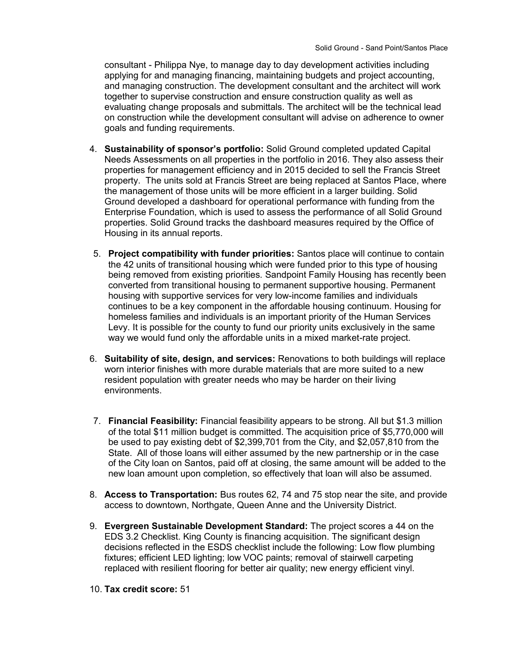consultant - Philippa Nye, to manage day to day development activities including applying for and managing financing, maintaining budgets and project accounting, and managing construction. The development consultant and the architect will work together to supervise construction and ensure construction quality as well as evaluating change proposals and submittals. The architect will be the technical lead on construction while the development consultant will advise on adherence to owner goals and funding requirements.

- 4. **Sustainability of sponsor's portfolio:** Solid Ground completed updated Capital Needs Assessments on all properties in the portfolio in 2016. They also assess their properties for management efficiency and in 2015 decided to sell the Francis Street property. The units sold at Francis Street are being replaced at Santos Place, where the management of those units will be more efficient in a larger building. Solid Ground developed a dashboard for operational performance with funding from the Enterprise Foundation, which is used to assess the performance of all Solid Ground properties. Solid Ground tracks the dashboard measures required by the Office of Housing in its annual reports.
- 5. **Project compatibility with funder priorities:** Santos place will continue to contain the 42 units of transitional housing which were funded prior to this type of housing being removed from existing priorities. Sandpoint Family Housing has recently been converted from transitional housing to permanent supportive housing. Permanent housing with supportive services for very low-income families and individuals continues to be a key component in the affordable housing continuum. Housing for homeless families and individuals is an important priority of the Human Services Levy. It is possible for the county to fund our priority units exclusively in the same way we would fund only the affordable units in a mixed market-rate project.
- 6. **Suitability of site, design, and services:** Renovations to both buildings will replace worn interior finishes with more durable materials that are more suited to a new resident population with greater needs who may be harder on their living environments.
- 7. **Financial Feasibility:** Financial feasibility appears to be strong. All but \$1.3 million of the total \$11 million budget is committed. The acquisition price of \$5,770,000 will be used to pay existing debt of \$2,399,701 from the City, and \$2,057,810 from the State. All of those loans will either assumed by the new partnership or in the case of the City loan on Santos, paid off at closing, the same amount will be added to the new loan amount upon completion, so effectively that loan will also be assumed.
- 8. **Access to Transportation:** Bus routes 62, 74 and 75 stop near the site, and provide access to downtown, Northgate, Queen Anne and the University District.
- 9. **Evergreen Sustainable Development Standard:** The project scores a 44 on the EDS 3.2 Checklist. King County is financing acquisition. The significant design decisions reflected in the ESDS checklist include the following: Low flow plumbing fixtures; efficient LED lighting; low VOC paints; removal of stairwell carpeting replaced with resilient flooring for better air quality; new energy efficient vinyl.
- 10. **Tax credit score:** 51